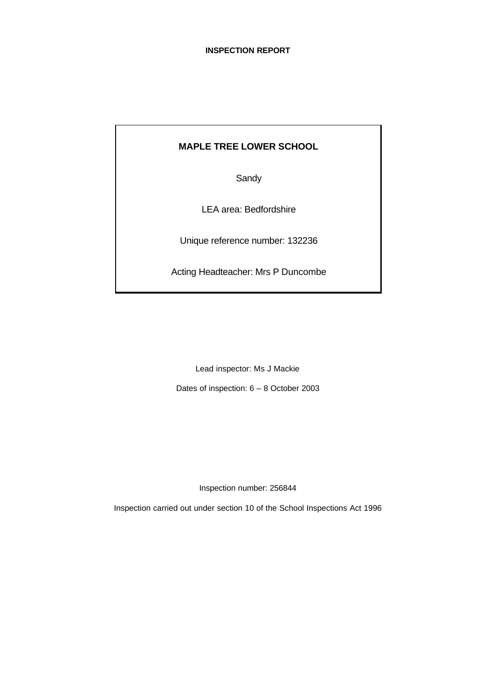# **MAPLE TREE LOWER SCHOOL**

**Sandy** 

LEA area: Bedfordshire

Unique reference number: 132236

Acting Headteacher: Mrs P Duncombe

Lead inspector: Ms J Mackie

Dates of inspection: 6 – 8 October 2003

Inspection number: 256844

Inspection carried out under section 10 of the School Inspections Act 1996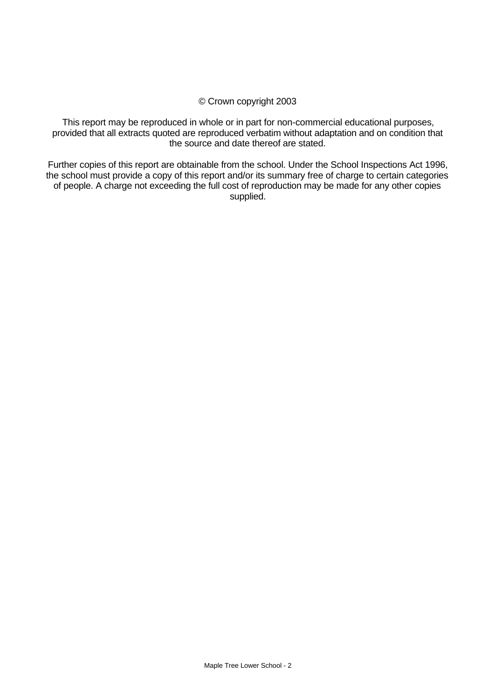#### © Crown copyright 2003

This report may be reproduced in whole or in part for non-commercial educational purposes, provided that all extracts quoted are reproduced verbatim without adaptation and on condition that the source and date thereof are stated.

Further copies of this report are obtainable from the school. Under the School Inspections Act 1996, the school must provide a copy of this report and/or its summary free of charge to certain categories of people. A charge not exceeding the full cost of reproduction may be made for any other copies supplied.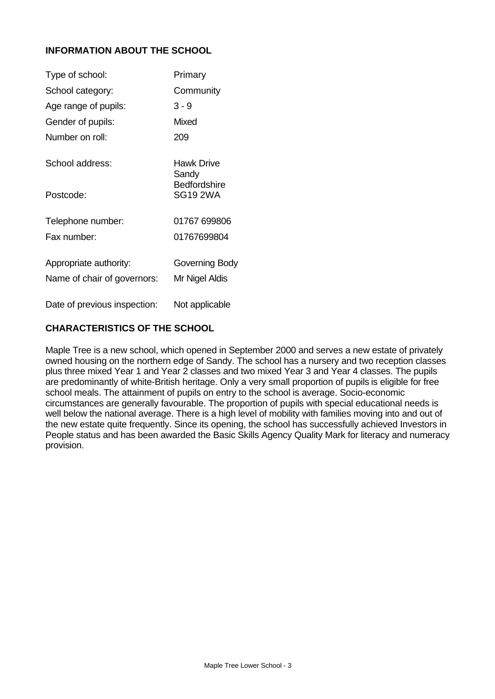# **INFORMATION ABOUT THE SCHOOL**

| Type of school:              | Primary                                |
|------------------------------|----------------------------------------|
| School category:             | Community                              |
| Age range of pupils:         | $3 - 9$                                |
| Gender of pupils:            | Mixed                                  |
| Number on roll:              | 209                                    |
| School address:              | Hawk Drive<br>Sandy                    |
| Postcode:                    | <b>Bedfordshire</b><br><b>SG19 2WA</b> |
| Telephone number:            | 01767 699806                           |
| Fax number:                  | 01767699804                            |
| Appropriate authority:       | Governing Body                         |
| Name of chair of governors:  | Mr Nigel Aldis                         |
| Date of previous inspection: | Not applicable                         |

# **CHARACTERISTICS OF THE SCHOOL**

Maple Tree is a new school, which opened in September 2000 and serves a new estate of privately owned housing on the northern edge of Sandy. The school has a nursery and two reception classes plus three mixed Year 1 and Year 2 classes and two mixed Year 3 and Year 4 classes. The pupils are predominantly of white-British heritage. Only a very small proportion of pupils is eligible for free school meals. The attainment of pupils on entry to the school is average. Socio-economic circumstances are generally favourable. The proportion of pupils with special educational needs is well below the national average. There is a high level of mobility with families moving into and out of the new estate quite frequently. Since its opening, the school has successfully achieved Investors in People status and has been awarded the Basic Skills Agency Quality Mark for literacy and numeracy provision.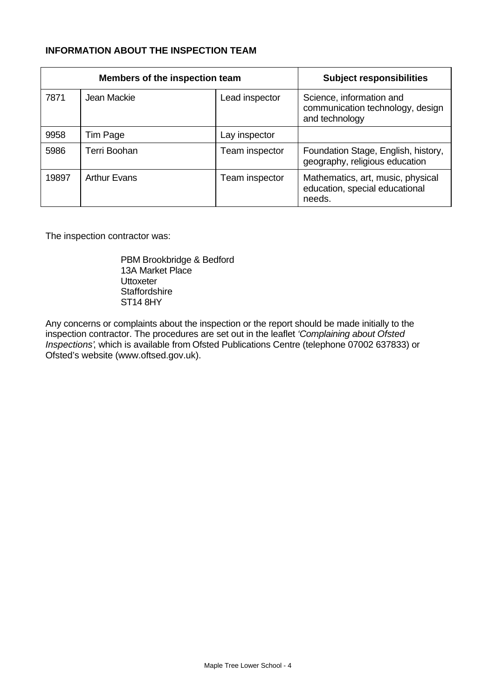# **INFORMATION ABOUT THE INSPECTION TEAM**

|       | Members of the inspection team | <b>Subject responsibilities</b> |                                                                                |
|-------|--------------------------------|---------------------------------|--------------------------------------------------------------------------------|
| 7871  | Jean Mackie                    | Lead inspector                  | Science, information and<br>communication technology, design<br>and technology |
| 9958  | Tim Page                       | Lay inspector                   |                                                                                |
| 5986  | Terri Boohan                   | Team inspector                  | Foundation Stage, English, history,<br>geography, religious education          |
| 19897 | <b>Arthur Evans</b>            | Team inspector                  | Mathematics, art, music, physical<br>education, special educational<br>needs.  |

The inspection contractor was:

PBM Brookbridge & Bedford 13A Market Place **Uttoxeter Staffordshire** ST14 8HY

Any concerns or complaints about the inspection or the report should be made initially to the inspection contractor. The procedures are set out in the leaflet *'Complaining about Ofsted Inspections'*, which is available from Ofsted Publications Centre (telephone 07002 637833) or Ofsted's website (www.oftsed.gov.uk).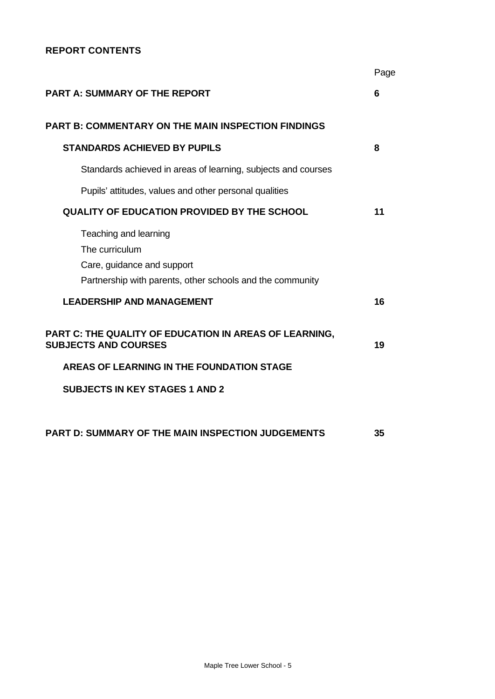# **REPORT CONTENTS**

|                                                                                       | Page |
|---------------------------------------------------------------------------------------|------|
| <b>PART A: SUMMARY OF THE REPORT</b>                                                  | 6    |
| <b>PART B: COMMENTARY ON THE MAIN INSPECTION FINDINGS</b>                             |      |
| <b>STANDARDS ACHIEVED BY PUPILS</b>                                                   | 8    |
| Standards achieved in areas of learning, subjects and courses                         |      |
| Pupils' attitudes, values and other personal qualities                                |      |
| <b>QUALITY OF EDUCATION PROVIDED BY THE SCHOOL</b>                                    | 11   |
| Teaching and learning<br>The curriculum                                               |      |
| Care, guidance and support                                                            |      |
| Partnership with parents, other schools and the community                             |      |
| <b>LEADERSHIP AND MANAGEMENT</b>                                                      | 16   |
| PART C: THE QUALITY OF EDUCATION IN AREAS OF LEARNING,<br><b>SUBJECTS AND COURSES</b> | 19   |
| AREAS OF LEARNING IN THE FOUNDATION STAGE                                             |      |
| <b>SUBJECTS IN KEY STAGES 1 AND 2</b>                                                 |      |
| <b>PART D: SUMMARY OF THE MAIN INSPECTION JUDGEMENTS</b>                              | 35   |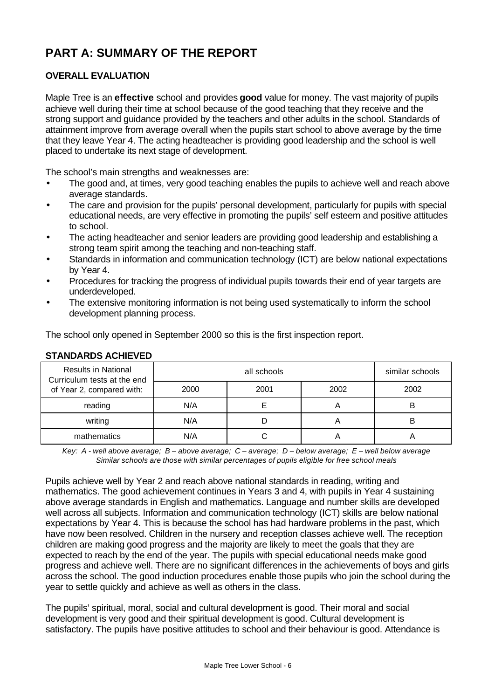# **PART A: SUMMARY OF THE REPORT**

# **OVERALL EVALUATION**

Maple Tree is an **effective** school and provides **good** value for money. The vast majority of pupils achieve well during their time at school because of the good teaching that they receive and the strong support and guidance provided by the teachers and other adults in the school. Standards of attainment improve from average overall when the pupils start school to above average by the time that they leave Year 4. The acting headteacher is providing good leadership and the school is well placed to undertake its next stage of development.

The school's main strengths and weaknesses are:

- The good and, at times, very good teaching enables the pupils to achieve well and reach above average standards.
- The care and provision for the pupils' personal development, particularly for pupils with special educational needs, are very effective in promoting the pupils' self esteem and positive attitudes to school.
- The acting headteacher and senior leaders are providing good leadership and establishing a strong team spirit among the teaching and non-teaching staff.
- Standards in information and communication technology (ICT) are below national expectations by Year 4.
- Procedures for tracking the progress of individual pupils towards their end of year targets are underdeveloped.
- The extensive monitoring information is not being used systematically to inform the school development planning process.

The school only opened in September 2000 so this is the first inspection report.

| <u> 9   ANDAN DU AVI IIL 1 LD</u>                                                      |      |             |      |                 |
|----------------------------------------------------------------------------------------|------|-------------|------|-----------------|
| <b>Results in National</b><br>Curriculum tests at the end<br>of Year 2, compared with: |      | all schools |      | similar schools |
|                                                                                        | 2000 | 2001        | 2002 | 2002            |
| reading                                                                                | N/A  |             |      | B               |
| writing                                                                                | N/A  |             | Α    | B               |
| mathematics                                                                            | N/A  |             |      |                 |

# **STANDARDS ACHIEVED**

*Key: A - well above average; B – above average; C – average; D – below average; E – well below average Similar schools are those with similar percentages of pupils eligible for free school meals*

Pupils achieve well by Year 2 and reach above national standards in reading, writing and mathematics. The good achievement continues in Years 3 and 4, with pupils in Year 4 sustaining above average standards in English and mathematics. Language and number skills are developed well across all subjects. Information and communication technology (ICT) skills are below national expectations by Year 4. This is because the school has had hardware problems in the past, which have now been resolved. Children in the nursery and reception classes achieve well. The reception children are making good progress and the majority are likely to meet the goals that they are expected to reach by the end of the year. The pupils with special educational needs make good progress and achieve well. There are no significant differences in the achievements of boys and girls across the school. The good induction procedures enable those pupils who join the school during the year to settle quickly and achieve as well as others in the class.

The pupils' spiritual, moral, social and cultural development is good. Their moral and social development is very good and their spiritual development is good. Cultural development is satisfactory. The pupils have positive attitudes to school and their behaviour is good. Attendance is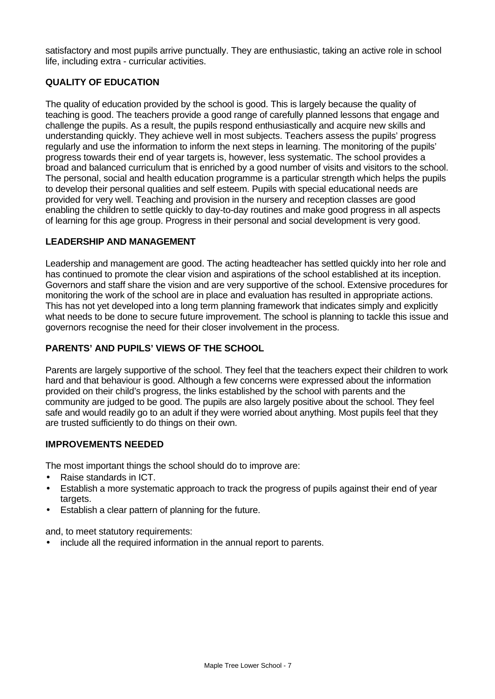satisfactory and most pupils arrive punctually. They are enthusiastic, taking an active role in school life, including extra - curricular activities.

# **QUALITY OF EDUCATION**

The quality of education provided by the school is good. This is largely because the quality of teaching is good. The teachers provide a good range of carefully planned lessons that engage and challenge the pupils. As a result, the pupils respond enthusiastically and acquire new skills and understanding quickly. They achieve well in most subjects. Teachers assess the pupils' progress regularly and use the information to inform the next steps in learning. The monitoring of the pupils' progress towards their end of year targets is, however, less systematic. The school provides a broad and balanced curriculum that is enriched by a good number of visits and visitors to the school. The personal, social and health education programme is a particular strength which helps the pupils to develop their personal qualities and self esteem. Pupils with special educational needs are provided for very well. Teaching and provision in the nursery and reception classes are good enabling the children to settle quickly to day-to-day routines and make good progress in all aspects of learning for this age group. Progress in their personal and social development is very good.

# **LEADERSHIP AND MANAGEMENT**

Leadership and management are good. The acting headteacher has settled quickly into her role and has continued to promote the clear vision and aspirations of the school established at its inception. Governors and staff share the vision and are very supportive of the school. Extensive procedures for monitoring the work of the school are in place and evaluation has resulted in appropriate actions. This has not yet developed into a long term planning framework that indicates simply and explicitly what needs to be done to secure future improvement. The school is planning to tackle this issue and governors recognise the need for their closer involvement in the process.

# **PARENTS' AND PUPILS' VIEWS OF THE SCHOOL**

Parents are largely supportive of the school. They feel that the teachers expect their children to work hard and that behaviour is good. Although a few concerns were expressed about the information provided on their child's progress, the links established by the school with parents and the community are judged to be good. The pupils are also largely positive about the school. They feel safe and would readily go to an adult if they were worried about anything. Most pupils feel that they are trusted sufficiently to do things on their own.

#### **IMPROVEMENTS NEEDED**

The most important things the school should do to improve are:

- Raise standards in ICT.
- Establish a more systematic approach to track the progress of pupils against their end of year targets.
- Establish a clear pattern of planning for the future.

and, to meet statutory requirements:

• include all the required information in the annual report to parents.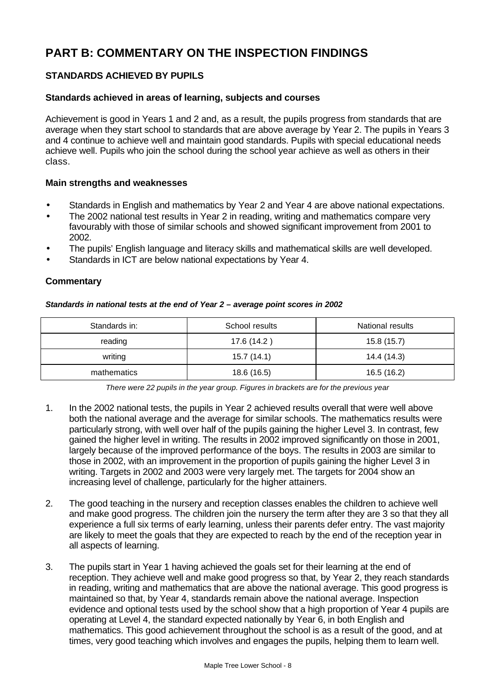# **PART B: COMMENTARY ON THE INSPECTION FINDINGS**

# **STANDARDS ACHIEVED BY PUPILS**

#### **Standards achieved in areas of learning, subjects and courses**

Achievement is good in Years 1 and 2 and, as a result, the pupils progress from standards that are average when they start school to standards that are above average by Year 2. The pupils in Years 3 and 4 continue to achieve well and maintain good standards. Pupils with special educational needs achieve well. Pupils who join the school during the school year achieve as well as others in their class.

#### **Main strengths and weaknesses**

- Standards in English and mathematics by Year 2 and Year 4 are above national expectations.
- The 2002 national test results in Year 2 in reading, writing and mathematics compare very favourably with those of similar schools and showed significant improvement from 2001 to 2002.
- The pupils' English language and literacy skills and mathematical skills are well developed.
- Standards in ICT are below national expectations by Year 4.

#### **Commentary**

#### *Standards in national tests at the end of Year 2 – average point scores in 2002*

| Standards in: | School results | National results |
|---------------|----------------|------------------|
| reading       | 17.6 (14.2)    | 15.8(15.7)       |
| writing       | 15.7(14.1)     | 14.4 (14.3)      |
| mathematics   | 18.6 (16.5)    | 16.5 (16.2)      |

*There were 22 pupils in the year group. Figures in brackets are for the previous year*

- 1. In the 2002 national tests, the pupils in Year 2 achieved results overall that were well above both the national average and the average for similar schools. The mathematics results were particularly strong, with well over half of the pupils gaining the higher Level 3. In contrast, few gained the higher level in writing. The results in 2002 improved significantly on those in 2001, largely because of the improved performance of the boys. The results in 2003 are similar to those in 2002, with an improvement in the proportion of pupils gaining the higher Level 3 in writing. Targets in 2002 and 2003 were very largely met. The targets for 2004 show an increasing level of challenge, particularly for the higher attainers.
- 2. The good teaching in the nursery and reception classes enables the children to achieve well and make good progress. The children join the nursery the term after they are 3 so that they all experience a full six terms of early learning, unless their parents defer entry. The vast majority are likely to meet the goals that they are expected to reach by the end of the reception year in all aspects of learning.
- 3. The pupils start in Year 1 having achieved the goals set for their learning at the end of reception. They achieve well and make good progress so that, by Year 2, they reach standards in reading, writing and mathematics that are above the national average. This good progress is maintained so that, by Year 4, standards remain above the national average. Inspection evidence and optional tests used by the school show that a high proportion of Year 4 pupils are operating at Level 4, the standard expected nationally by Year 6, in both English and mathematics. This good achievement throughout the school is as a result of the good, and at times, very good teaching which involves and engages the pupils, helping them to learn well.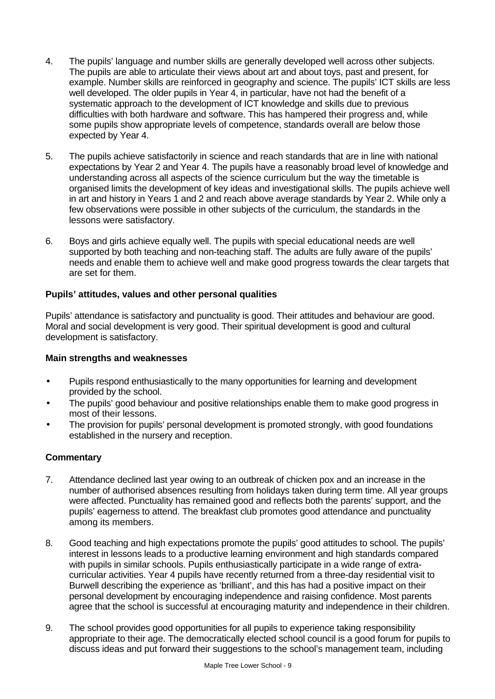- 4. The pupils' language and number skills are generally developed well across other subjects. The pupils are able to articulate their views about art and about toys, past and present, for example. Number skills are reinforced in geography and science. The pupils' ICT skills are less well developed. The older pupils in Year 4, in particular, have not had the benefit of a systematic approach to the development of ICT knowledge and skills due to previous difficulties with both hardware and software. This has hampered their progress and, while some pupils show appropriate levels of competence, standards overall are below those expected by Year 4.
- 5. The pupils achieve satisfactorily in science and reach standards that are in line with national expectations by Year 2 and Year 4. The pupils have a reasonably broad level of knowledge and understanding across all aspects of the science curriculum but the way the timetable is organised limits the development of key ideas and investigational skills. The pupils achieve well in art and history in Years 1 and 2 and reach above average standards by Year 2. While only a few observations were possible in other subjects of the curriculum, the standards in the lessons were satisfactory.
- 6. Boys and girls achieve equally well. The pupils with special educational needs are well supported by both teaching and non-teaching staff. The adults are fully aware of the pupils' needs and enable them to achieve well and make good progress towards the clear targets that are set for them.

# **Pupils' attitudes, values and other personal qualities**

Pupils' attendance is satisfactory and punctuality is good. Their attitudes and behaviour are good. Moral and social development is very good. Their spiritual development is good and cultural development is satisfactory.

# **Main strengths and weaknesses**

- Pupils respond enthusiastically to the many opportunities for learning and development provided by the school.
- The pupils' good behaviour and positive relationships enable them to make good progress in most of their lessons.
- The provision for pupils' personal development is promoted strongly, with good foundations established in the nursery and reception.

- 7. Attendance declined last year owing to an outbreak of chicken pox and an increase in the number of authorised absences resulting from holidays taken during term time. All year groups were affected. Punctuality has remained good and reflects both the parents' support, and the pupils' eagerness to attend. The breakfast club promotes good attendance and punctuality among its members.
- 8. Good teaching and high expectations promote the pupils' good attitudes to school. The pupils' interest in lessons leads to a productive learning environment and high standards compared with pupils in similar schools. Pupils enthusiastically participate in a wide range of extracurricular activities. Year 4 pupils have recently returned from a three-day residential visit to Burwell describing the experience as 'brilliant', and this has had a positive impact on their personal development by encouraging independence and raising confidence. Most parents agree that the school is successful at encouraging maturity and independence in their children.
- 9. The school provides good opportunities for all pupils to experience taking responsibility appropriate to their age. The democratically elected school council is a good forum for pupils to discuss ideas and put forward their suggestions to the school's management team, including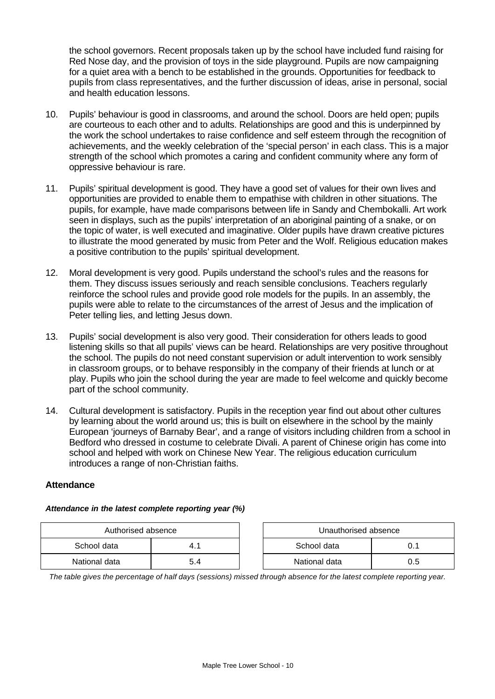the school governors. Recent proposals taken up by the school have included fund raising for Red Nose day, and the provision of toys in the side playground. Pupils are now campaigning for a quiet area with a bench to be established in the grounds. Opportunities for feedback to pupils from class representatives, and the further discussion of ideas, arise in personal, social and health education lessons.

- 10. Pupils' behaviour is good in classrooms, and around the school. Doors are held open; pupils are courteous to each other and to adults. Relationships are good and this is underpinned by the work the school undertakes to raise confidence and self esteem through the recognition of achievements, and the weekly celebration of the 'special person' in each class. This is a major strength of the school which promotes a caring and confident community where any form of oppressive behaviour is rare.
- 11. Pupils' spiritual development is good. They have a good set of values for their own lives and opportunities are provided to enable them to empathise with children in other situations. The pupils, for example, have made comparisons between life in Sandy and Chembokalli. Art work seen in displays, such as the pupils' interpretation of an aboriginal painting of a snake, or on the topic of water, is well executed and imaginative. Older pupils have drawn creative pictures to illustrate the mood generated by music from Peter and the Wolf. Religious education makes a positive contribution to the pupils' spiritual development.
- 12. Moral development is very good. Pupils understand the school's rules and the reasons for them. They discuss issues seriously and reach sensible conclusions. Teachers regularly reinforce the school rules and provide good role models for the pupils. In an assembly, the pupils were able to relate to the circumstances of the arrest of Jesus and the implication of Peter telling lies, and letting Jesus down.
- 13. Pupils' social development is also very good. Their consideration for others leads to good listening skills so that all pupils' views can be heard. Relationships are very positive throughout the school. The pupils do not need constant supervision or adult intervention to work sensibly in classroom groups, or to behave responsibly in the company of their friends at lunch or at play. Pupils who join the school during the year are made to feel welcome and quickly become part of the school community.
- 14. Cultural development is satisfactory. Pupils in the reception year find out about other cultures by learning about the world around us; this is built on elsewhere in the school by the mainly European 'journeys of Barnaby Bear', and a range of visitors including children from a school in Bedford who dressed in costume to celebrate Divali. A parent of Chinese origin has come into school and helped with work on Chinese New Year. The religious education curriculum introduces a range of non-Christian faiths.

#### **Attendance**

#### *Attendance in the latest complete reporting year (%)*

| Authorised absence |     |  | Unauthorised absence |     |
|--------------------|-----|--|----------------------|-----|
| School data        |     |  | School data          |     |
| National data      | 5.4 |  | National data        | 0.5 |

*The table gives the percentage of half days (sessions) missed through absence for the latest complete reporting year.*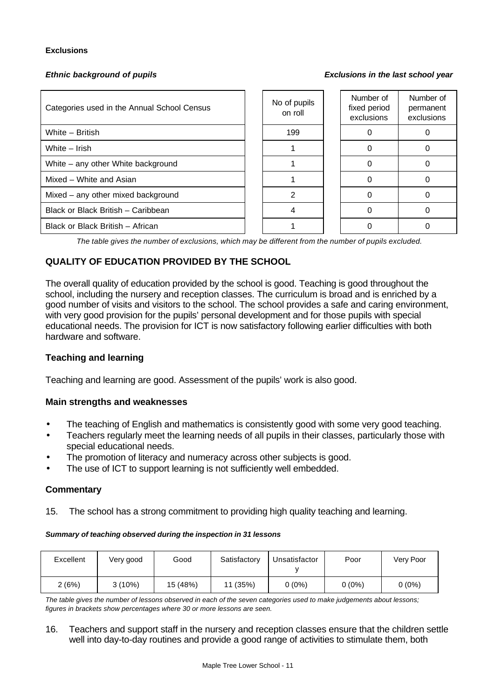#### **Exclusions**

*Ethnic background of pupils Exclusions in the last school year*

| Categories used in the Annual School Census | No of pupils<br>on roll | Number of<br>fixed period<br>exclusions | Number of<br>permanent<br>exclusions |
|---------------------------------------------|-------------------------|-----------------------------------------|--------------------------------------|
| White - British                             | 199                     |                                         |                                      |
| White - Irish                               |                         |                                         |                                      |
| White - any other White background          |                         |                                         |                                      |
| Mixed - White and Asian                     |                         |                                         |                                      |
| Mixed – any other mixed background          | 2                       |                                         |                                      |
| Black or Black British - Caribbean          |                         |                                         |                                      |
| Black or Black British - African            |                         |                                         |                                      |

*The table gives the number of exclusions, which may be different from the number of pupils excluded.*

# **QUALITY OF EDUCATION PROVIDED BY THE SCHOOL**

The overall quality of education provided by the school is good. Teaching is good throughout the school, including the nursery and reception classes. The curriculum is broad and is enriched by a good number of visits and visitors to the school. The school provides a safe and caring environment, with very good provision for the pupils' personal development and for those pupils with special educational needs. The provision for ICT is now satisfactory following earlier difficulties with both hardware and software.

#### **Teaching and learning**

Teaching and learning are good. Assessment of the pupils' work is also good.

#### **Main strengths and weaknesses**

- The teaching of English and mathematics is consistently good with some very good teaching.
- Teachers regularly meet the learning needs of all pupils in their classes, particularly those with special educational needs.
- The promotion of literacy and numeracy across other subjects is good.
- The use of ICT to support learning is not sufficiently well embedded.

#### **Commentary**

15. The school has a strong commitment to providing high quality teaching and learning.

#### *Summary of teaching observed during the inspection in 31 lessons*

| Excellent | Very good | Good     | Satisfactory | Unsatisfactor | Poor     | Very Poor |
|-----------|-----------|----------|--------------|---------------|----------|-----------|
| 2(6%)     | $3(10\%)$ | 15 (48%) | 11 (35%)     | $0(0\%)$      | $0(0\%)$ | $0(0\%)$  |

*The table gives the number of lessons observed in each of the seven categories used to make judgements about lessons; figures in brackets show percentages where 30 or more lessons are seen.*

16. Teachers and support staff in the nursery and reception classes ensure that the children settle well into day-to-day routines and provide a good range of activities to stimulate them, both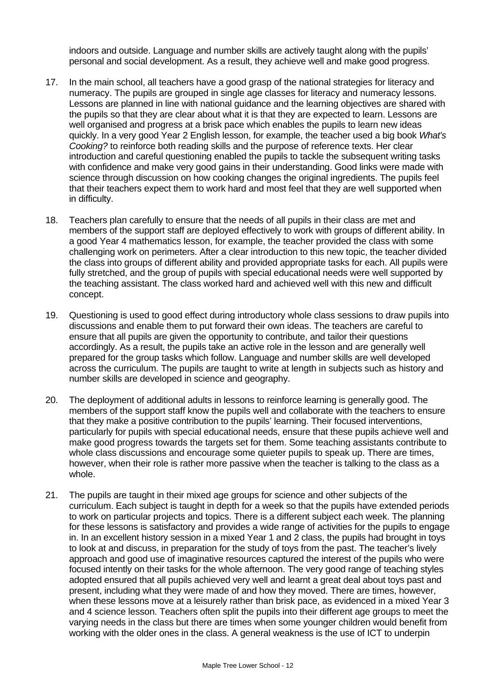indoors and outside. Language and number skills are actively taught along with the pupils' personal and social development. As a result, they achieve well and make good progress.

- 17. In the main school, all teachers have a good grasp of the national strategies for literacy and numeracy. The pupils are grouped in single age classes for literacy and numeracy lessons. Lessons are planned in line with national guidance and the learning objectives are shared with the pupils so that they are clear about what it is that they are expected to learn. Lessons are well organised and progress at a brisk pace which enables the pupils to learn new ideas quickly. In a very good Year 2 English lesson, for example, the teacher used a big book *What's Cooking?* to reinforce both reading skills and the purpose of reference texts. Her clear introduction and careful questioning enabled the pupils to tackle the subsequent writing tasks with confidence and make very good gains in their understanding. Good links were made with science through discussion on how cooking changes the original ingredients. The pupils feel that their teachers expect them to work hard and most feel that they are well supported when in difficulty.
- 18. Teachers plan carefully to ensure that the needs of all pupils in their class are met and members of the support staff are deployed effectively to work with groups of different ability. In a good Year 4 mathematics lesson, for example, the teacher provided the class with some challenging work on perimeters. After a clear introduction to this new topic, the teacher divided the class into groups of different ability and provided appropriate tasks for each. All pupils were fully stretched, and the group of pupils with special educational needs were well supported by the teaching assistant. The class worked hard and achieved well with this new and difficult concept.
- 19. Questioning is used to good effect during introductory whole class sessions to draw pupils into discussions and enable them to put forward their own ideas. The teachers are careful to ensure that all pupils are given the opportunity to contribute, and tailor their questions accordingly. As a result, the pupils take an active role in the lesson and are generally well prepared for the group tasks which follow. Language and number skills are well developed across the curriculum. The pupils are taught to write at length in subjects such as history and number skills are developed in science and geography.
- 20. The deployment of additional adults in lessons to reinforce learning is generally good. The members of the support staff know the pupils well and collaborate with the teachers to ensure that they make a positive contribution to the pupils' learning. Their focused interventions, particularly for pupils with special educational needs, ensure that these pupils achieve well and make good progress towards the targets set for them. Some teaching assistants contribute to whole class discussions and encourage some quieter pupils to speak up. There are times, however, when their role is rather more passive when the teacher is talking to the class as a whole.
- 21. The pupils are taught in their mixed age groups for science and other subjects of the curriculum. Each subject is taught in depth for a week so that the pupils have extended periods to work on particular projects and topics. There is a different subject each week. The planning for these lessons is satisfactory and provides a wide range of activities for the pupils to engage in. In an excellent history session in a mixed Year 1 and 2 class, the pupils had brought in toys to look at and discuss, in preparation for the study of toys from the past. The teacher's lively approach and good use of imaginative resources captured the interest of the pupils who were focused intently on their tasks for the whole afternoon. The very good range of teaching styles adopted ensured that all pupils achieved very well and learnt a great deal about toys past and present, including what they were made of and how they moved. There are times, however, when these lessons move at a leisurely rather than brisk pace, as evidenced in a mixed Year 3 and 4 science lesson. Teachers often split the pupils into their different age groups to meet the varying needs in the class but there are times when some younger children would benefit from working with the older ones in the class. A general weakness is the use of ICT to underpin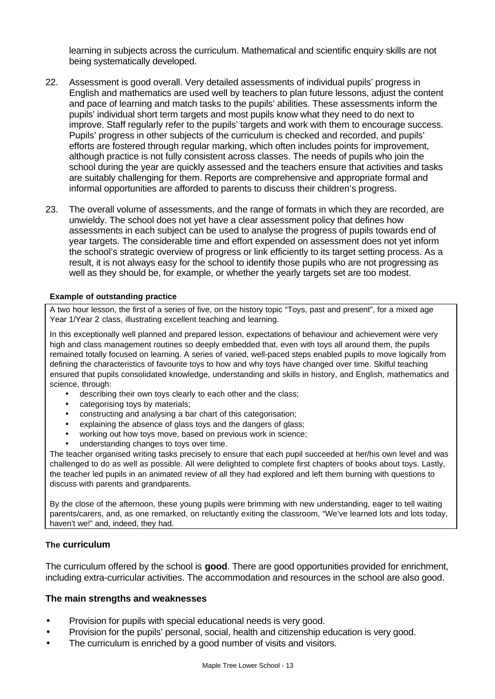learning in subjects across the curriculum. Mathematical and scientific enquiry skills are not being systematically developed.

- 22. Assessment is good overall. Very detailed assessments of individual pupils' progress in English and mathematics are used well by teachers to plan future lessons, adjust the content and pace of learning and match tasks to the pupils' abilities. These assessments inform the pupils' individual short term targets and most pupils know what they need to do next to improve. Staff regularly refer to the pupils' targets and work with them to encourage success. Pupils' progress in other subjects of the curriculum is checked and recorded, and pupils' efforts are fostered through regular marking, which often includes points for improvement, although practice is not fully consistent across classes. The needs of pupils who join the school during the year are quickly assessed and the teachers ensure that activities and tasks are suitably challenging for them. Reports are comprehensive and appropriate formal and informal opportunities are afforded to parents to discuss their children's progress.
- 23. The overall volume of assessments, and the range of formats in which they are recorded, are unwieldy. The school does not yet have a clear assessment policy that defines how assessments in each subject can be used to analyse the progress of pupils towards end of year targets. The considerable time and effort expended on assessment does not yet inform the school's strategic overview of progress or link efficiently to its target setting process. As a result, it is not always easy for the school to identify those pupils who are not progressing as well as they should be, for example, or whether the yearly targets set are too modest.

#### **Example of outstanding practice**

A two hour lesson, the first of a series of five, on the history topic "Toys, past and present", for a mixed age Year 1/Year 2 class, illustrating excellent teaching and learning.

In this exceptionally well planned and prepared lesson, expectations of behaviour and achievement were very high and class management routines so deeply embedded that, even with toys all around them, the pupils remained totally focused on learning. A series of varied, well-paced steps enabled pupils to move logically from defining the characteristics of favourite toys to how and why toys have changed over time. Skilful teaching ensured that pupils consolidated knowledge, understanding and skills in history, and English, mathematics and science, through:

- describing their own toys clearly to each other and the class;
- categorising toys by materials;
- constructing and analysing a bar chart of this categorisation;
- explaining the absence of glass toys and the dangers of glass;
- working out how toys move, based on previous work in science;
- understanding changes to toys over time.

The teacher organised writing tasks precisely to ensure that each pupil succeeded at her/his own level and was challenged to do as well as possible. All were delighted to complete first chapters of books about toys. Lastly, the teacher led pupils in an animated review of all they had explored and left them burning with questions to discuss with parents and grandparents.

By the close of the afternoon, these young pupils were brimming with new understanding, eager to tell waiting parents/carers, and, as one remarked, on reluctantly exiting the classroom, "We've learned lots and lots today, haven't we!" and, indeed, they had.

#### **The curriculum**

The curriculum offered by the school is **good**. There are good opportunities provided for enrichment, including extra-curricular activities. The accommodation and resources in the school are also good.

#### **The main strengths and weaknesses**

- Provision for pupils with special educational needs is very good.
- Provision for the pupils' personal, social, health and citizenship education is very good.
- The curriculum is enriched by a good number of visits and visitors.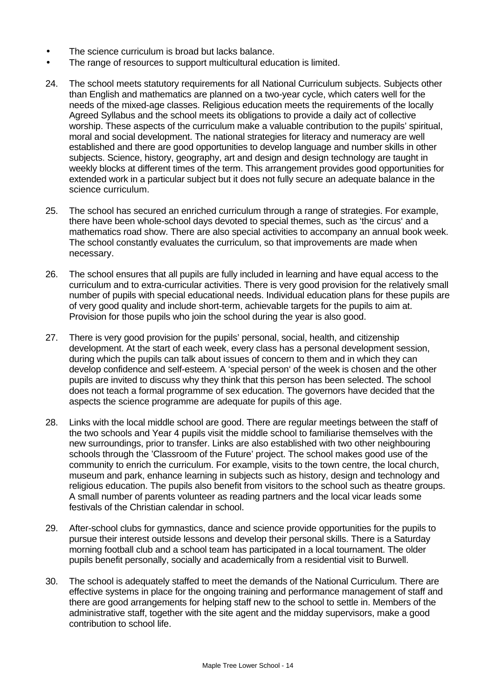- The science curriculum is broad but lacks balance.
- The range of resources to support multicultural education is limited.
- 24. The school meets statutory requirements for all National Curriculum subjects. Subjects other than English and mathematics are planned on a two-year cycle, which caters well for the needs of the mixed-age classes. Religious education meets the requirements of the locally Agreed Syllabus and the school meets its obligations to provide a daily act of collective worship. These aspects of the curriculum make a valuable contribution to the pupils' spiritual, moral and social development. The national strategies for literacy and numeracy are well established and there are good opportunities to develop language and number skills in other subjects. Science, history, geography, art and design and design technology are taught in weekly blocks at different times of the term. This arrangement provides good opportunities for extended work in a particular subject but it does not fully secure an adequate balance in the science curriculum.
- 25. The school has secured an enriched curriculum through a range of strategies. For example, there have been whole-school days devoted to special themes, such as 'the circus' and a mathematics road show. There are also special activities to accompany an annual book week. The school constantly evaluates the curriculum, so that improvements are made when necessary.
- 26. The school ensures that all pupils are fully included in learning and have equal access to the curriculum and to extra-curricular activities. There is very good provision for the relatively small number of pupils with special educational needs. Individual education plans for these pupils are of very good quality and include short-term, achievable targets for the pupils to aim at. Provision for those pupils who join the school during the year is also good.
- 27. There is very good provision for the pupils' personal, social, health, and citizenship development. At the start of each week, every class has a personal development session, during which the pupils can talk about issues of concern to them and in which they can develop confidence and self-esteem. A 'special person' of the week is chosen and the other pupils are invited to discuss why they think that this person has been selected. The school does not teach a formal programme of sex education. The governors have decided that the aspects the science programme are adequate for pupils of this age.
- 28. Links with the local middle school are good. There are regular meetings between the staff of the two schools and Year 4 pupils visit the middle school to familiarise themselves with the new surroundings, prior to transfer. Links are also established with two other neighbouring schools through the 'Classroom of the Future' project. The school makes good use of the community to enrich the curriculum. For example, visits to the town centre, the local church, museum and park, enhance learning in subjects such as history, design and technology and religious education. The pupils also benefit from visitors to the school such as theatre groups. A small number of parents volunteer as reading partners and the local vicar leads some festivals of the Christian calendar in school.
- 29. After-school clubs for gymnastics, dance and science provide opportunities for the pupils to pursue their interest outside lessons and develop their personal skills. There is a Saturday morning football club and a school team has participated in a local tournament. The older pupils benefit personally, socially and academically from a residential visit to Burwell.
- 30. The school is adequately staffed to meet the demands of the National Curriculum. There are effective systems in place for the ongoing training and performance management of staff and there are good arrangements for helping staff new to the school to settle in. Members of the administrative staff, together with the site agent and the midday supervisors, make a good contribution to school life.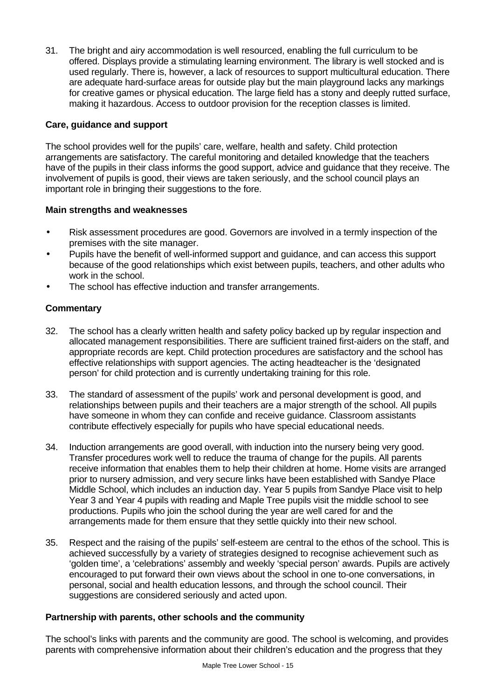31. The bright and airy accommodation is well resourced, enabling the full curriculum to be offered. Displays provide a stimulating learning environment. The library is well stocked and is used regularly. There is, however, a lack of resources to support multicultural education. There are adequate hard-surface areas for outside play but the main playground lacks any markings for creative games or physical education. The large field has a stony and deeply rutted surface, making it hazardous. Access to outdoor provision for the reception classes is limited.

# **Care, guidance and support**

The school provides well for the pupils' care, welfare, health and safety. Child protection arrangements are satisfactory. The careful monitoring and detailed knowledge that the teachers have of the pupils in their class informs the good support, advice and guidance that they receive. The involvement of pupils is good, their views are taken seriously, and the school council plays an important role in bringing their suggestions to the fore.

# **Main strengths and weaknesses**

- Risk assessment procedures are good. Governors are involved in a termly inspection of the premises with the site manager.
- Pupils have the benefit of well-informed support and guidance, and can access this support because of the good relationships which exist between pupils, teachers, and other adults who work in the school.
- The school has effective induction and transfer arrangements.

# **Commentary**

- 32. The school has a clearly written health and safety policy backed up by regular inspection and allocated management responsibilities. There are sufficient trained first-aiders on the staff, and appropriate records are kept. Child protection procedures are satisfactory and the school has effective relationships with support agencies. The acting headteacher is the 'designated person' for child protection and is currently undertaking training for this role.
- 33. The standard of assessment of the pupils' work and personal development is good, and relationships between pupils and their teachers are a major strength of the school. All pupils have someone in whom they can confide and receive guidance. Classroom assistants contribute effectively especially for pupils who have special educational needs.
- 34. Induction arrangements are good overall, with induction into the nursery being very good. Transfer procedures work well to reduce the trauma of change for the pupils. All parents receive information that enables them to help their children at home. Home visits are arranged prior to nursery admission, and very secure links have been established with Sandye Place Middle School, which includes an induction day. Year 5 pupils from Sandye Place visit to help Year 3 and Year 4 pupils with reading and Maple Tree pupils visit the middle school to see productions. Pupils who join the school during the year are well cared for and the arrangements made for them ensure that they settle quickly into their new school.
- 35. Respect and the raising of the pupils' self-esteem are central to the ethos of the school. This is achieved successfully by a variety of strategies designed to recognise achievement such as 'golden time', a 'celebrations' assembly and weekly 'special person' awards. Pupils are actively encouraged to put forward their own views about the school in one to-one conversations, in personal, social and health education lessons, and through the school council. Their suggestions are considered seriously and acted upon.

#### **Partnership with parents, other schools and the community**

The school's links with parents and the community are good. The school is welcoming, and provides parents with comprehensive information about their children's education and the progress that they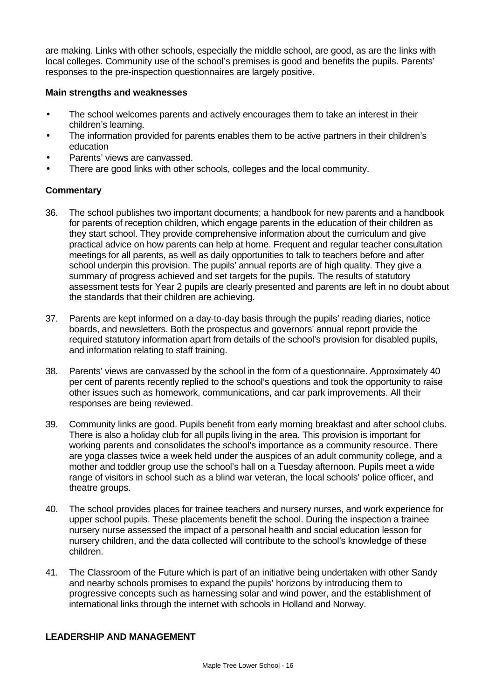are making. Links with other schools, especially the middle school, are good, as are the links with local colleges. Community use of the school's premises is good and benefits the pupils. Parents' responses to the pre-inspection questionnaires are largely positive.

#### **Main strengths and weaknesses**

- The school welcomes parents and actively encourages them to take an interest in their children's learning.
- The information provided for parents enables them to be active partners in their children's education
- Parents' views are canvassed.
- There are good links with other schools, colleges and the local community.

#### **Commentary**

- 36. The school publishes two important documents; a handbook for new parents and a handbook for parents of reception children, which engage parents in the education of their children as they start school. They provide comprehensive information about the curriculum and give practical advice on how parents can help at home. Frequent and regular teacher consultation meetings for all parents, as well as daily opportunities to talk to teachers before and after school underpin this provision. The pupils' annual reports are of high quality. They give a summary of progress achieved and set targets for the pupils. The results of statutory assessment tests for Year 2 pupils are clearly presented and parents are left in no doubt about the standards that their children are achieving.
- 37. Parents are kept informed on a day-to-day basis through the pupils' reading diaries, notice boards, and newsletters. Both the prospectus and governors' annual report provide the required statutory information apart from details of the school's provision for disabled pupils, and information relating to staff training.
- 38. Parents' views are canvassed by the school in the form of a questionnaire. Approximately 40 per cent of parents recently replied to the school's questions and took the opportunity to raise other issues such as homework, communications, and car park improvements. All their responses are being reviewed.
- 39. Community links are good. Pupils benefit from early morning breakfast and after school clubs. There is also a holiday club for all pupils living in the area. This provision is important for working parents and consolidates the school's importance as a community resource. There are yoga classes twice a week held under the auspices of an adult community college, and a mother and toddler group use the school's hall on a Tuesday afternoon. Pupils meet a wide range of visitors in school such as a blind war veteran, the local schools' police officer, and theatre groups.
- 40. The school provides places for trainee teachers and nursery nurses, and work experience for upper school pupils. These placements benefit the school. During the inspection a trainee nursery nurse assessed the impact of a personal health and social education lesson for nursery children, and the data collected will contribute to the school's knowledge of these children.
- 41. The Classroom of the Future which is part of an initiative being undertaken with other Sandy and nearby schools promises to expand the pupils' horizons by introducing them to progressive concepts such as harnessing solar and wind power, and the establishment of international links through the internet with schools in Holland and Norway.

#### **LEADERSHIP AND MANAGEMENT**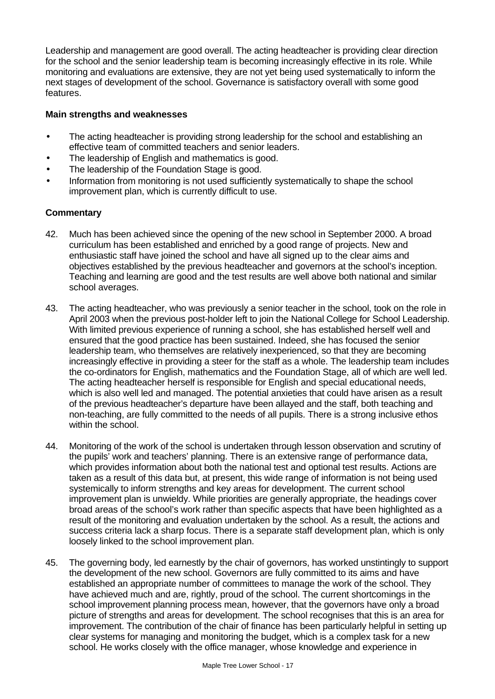Leadership and management are good overall. The acting headteacher is providing clear direction for the school and the senior leadership team is becoming increasingly effective in its role. While monitoring and evaluations are extensive, they are not yet being used systematically to inform the next stages of development of the school. Governance is satisfactory overall with some good features.

### **Main strengths and weaknesses**

- The acting headteacher is providing strong leadership for the school and establishing an effective team of committed teachers and senior leaders.
- The leadership of English and mathematics is good.
- The leadership of the Foundation Stage is good.
- Information from monitoring is not used sufficiently systematically to shape the school improvement plan, which is currently difficult to use.

- 42. Much has been achieved since the opening of the new school in September 2000. A broad curriculum has been established and enriched by a good range of projects. New and enthusiastic staff have joined the school and have all signed up to the clear aims and objectives established by the previous headteacher and governors at the school's inception. Teaching and learning are good and the test results are well above both national and similar school averages.
- 43. The acting headteacher, who was previously a senior teacher in the school, took on the role in April 2003 when the previous post-holder left to join the National College for School Leadership. With limited previous experience of running a school, she has established herself well and ensured that the good practice has been sustained. Indeed, she has focused the senior leadership team, who themselves are relatively inexperienced, so that they are becoming increasingly effective in providing a steer for the staff as a whole. The leadership team includes the co-ordinators for English, mathematics and the Foundation Stage, all of which are well led. The acting headteacher herself is responsible for English and special educational needs, which is also well led and managed. The potential anxieties that could have arisen as a result of the previous headteacher's departure have been allayed and the staff, both teaching and non-teaching, are fully committed to the needs of all pupils. There is a strong inclusive ethos within the school.
- 44. Monitoring of the work of the school is undertaken through lesson observation and scrutiny of the pupils' work and teachers' planning. There is an extensive range of performance data, which provides information about both the national test and optional test results. Actions are taken as a result of this data but, at present, this wide range of information is not being used systemically to inform strengths and key areas for development. The current school improvement plan is unwieldy. While priorities are generally appropriate, the headings cover broad areas of the school's work rather than specific aspects that have been highlighted as a result of the monitoring and evaluation undertaken by the school. As a result, the actions and success criteria lack a sharp focus. There is a separate staff development plan, which is only loosely linked to the school improvement plan.
- 45. The governing body, led earnestly by the chair of governors, has worked unstintingly to support the development of the new school. Governors are fully committed to its aims and have established an appropriate number of committees to manage the work of the school. They have achieved much and are, rightly, proud of the school. The current shortcomings in the school improvement planning process mean, however, that the governors have only a broad picture of strengths and areas for development. The school recognises that this is an area for improvement. The contribution of the chair of finance has been particularly helpful in setting up clear systems for managing and monitoring the budget, which is a complex task for a new school. He works closely with the office manager, whose knowledge and experience in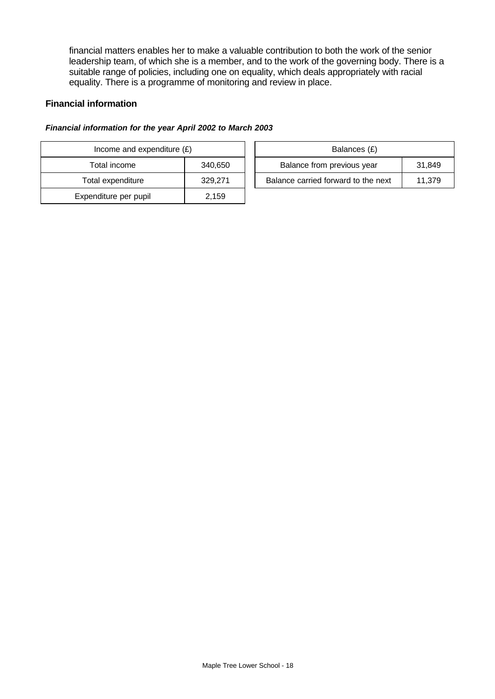financial matters enables her to make a valuable contribution to both the work of the senior leadership team, of which she is a member, and to the work of the governing body. There is a suitable range of policies, including one on equality, which deals appropriately with racial equality. There is a programme of monitoring and review in place.

#### **Financial information**

#### *Financial information for the year April 2002 to March 2003*

| Income and expenditure $(E)$ |         |  | Balances (£)                   |
|------------------------------|---------|--|--------------------------------|
| Total income                 | 340,650 |  | Balance from previous year     |
| Total expenditure            | 329,271 |  | Balance carried forward to the |
| Expenditure per pupil        | 2,159   |  |                                |

| Income and expenditure $(E)$ |         | Balances (£)                        |        |
|------------------------------|---------|-------------------------------------|--------|
| Total income<br>340,650      |         | Balance from previous year          | 31.849 |
| Total expenditure            | 329.271 | Balance carried forward to the next | 11.379 |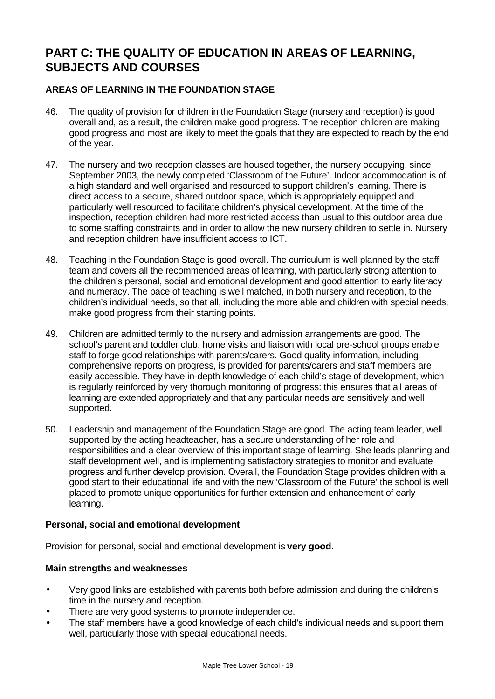# **PART C: THE QUALITY OF EDUCATION IN AREAS OF LEARNING, SUBJECTS AND COURSES**

# **AREAS OF LEARNING IN THE FOUNDATION STAGE**

- 46. The quality of provision for children in the Foundation Stage (nursery and reception) is good overall and, as a result, the children make good progress. The reception children are making good progress and most are likely to meet the goals that they are expected to reach by the end of the year.
- 47. The nursery and two reception classes are housed together, the nursery occupying, since September 2003, the newly completed 'Classroom of the Future'. Indoor accommodation is of a high standard and well organised and resourced to support children's learning. There is direct access to a secure, shared outdoor space, which is appropriately equipped and particularly well resourced to facilitate children's physical development. At the time of the inspection, reception children had more restricted access than usual to this outdoor area due to some staffing constraints and in order to allow the new nursery children to settle in. Nursery and reception children have insufficient access to ICT.
- 48. Teaching in the Foundation Stage is good overall. The curriculum is well planned by the staff team and covers all the recommended areas of learning, with particularly strong attention to the children's personal, social and emotional development and good attention to early literacy and numeracy. The pace of teaching is well matched, in both nursery and reception, to the children's individual needs, so that all, including the more able and children with special needs, make good progress from their starting points.
- 49. Children are admitted termly to the nursery and admission arrangements are good. The school's parent and toddler club, home visits and liaison with local pre-school groups enable staff to forge good relationships with parents/carers. Good quality information, including comprehensive reports on progress, is provided for parents/carers and staff members are easily accessible. They have in-depth knowledge of each child's stage of development, which is regularly reinforced by very thorough monitoring of progress: this ensures that all areas of learning are extended appropriately and that any particular needs are sensitively and well supported.
- 50. Leadership and management of the Foundation Stage are good. The acting team leader, well supported by the acting headteacher, has a secure understanding of her role and responsibilities and a clear overview of this important stage of learning. She leads planning and staff development well, and is implementing satisfactory strategies to monitor and evaluate progress and further develop provision. Overall, the Foundation Stage provides children with a good start to their educational life and with the new 'Classroom of the Future' the school is well placed to promote unique opportunities for further extension and enhancement of early learning.

#### **Personal, social and emotional development**

Provision for personal, social and emotional development is **very good**.

#### **Main strengths and weaknesses**

- Very good links are established with parents both before admission and during the children's time in the nursery and reception.
- There are very good systems to promote independence.
- The staff members have a good knowledge of each child's individual needs and support them well, particularly those with special educational needs.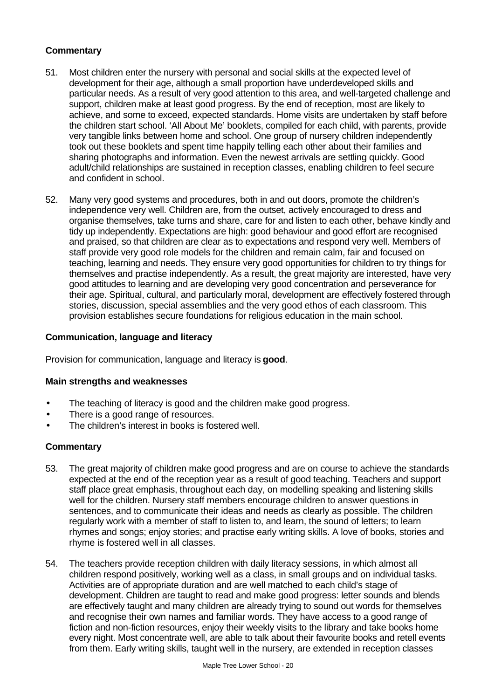# **Commentary**

- 51. Most children enter the nursery with personal and social skills at the expected level of development for their age, although a small proportion have underdeveloped skills and particular needs. As a result of very good attention to this area, and well-targeted challenge and support, children make at least good progress. By the end of reception, most are likely to achieve, and some to exceed, expected standards. Home visits are undertaken by staff before the children start school. 'All About Me' booklets, compiled for each child, with parents, provide very tangible links between home and school. One group of nursery children independently took out these booklets and spent time happily telling each other about their families and sharing photographs and information. Even the newest arrivals are settling quickly. Good adult/child relationships are sustained in reception classes, enabling children to feel secure and confident in school.
- 52. Many very good systems and procedures, both in and out doors, promote the children's independence very well. Children are, from the outset, actively encouraged to dress and organise themselves, take turns and share, care for and listen to each other, behave kindly and tidy up independently. Expectations are high: good behaviour and good effort are recognised and praised, so that children are clear as to expectations and respond very well. Members of staff provide very good role models for the children and remain calm, fair and focused on teaching, learning and needs. They ensure very good opportunities for children to try things for themselves and practise independently. As a result, the great majority are interested, have very good attitudes to learning and are developing very good concentration and perseverance for their age. Spiritual, cultural, and particularly moral, development are effectively fostered through stories, discussion, special assemblies and the very good ethos of each classroom. This provision establishes secure foundations for religious education in the main school.

# **Communication, language and literacy**

Provision for communication, language and literacy is **good**.

#### **Main strengths and weaknesses**

- The teaching of literacy is good and the children make good progress.
- There is a good range of resources.
- The children's interest in books is fostered well.

- 53. The great majority of children make good progress and are on course to achieve the standards expected at the end of the reception year as a result of good teaching. Teachers and support staff place great emphasis, throughout each day, on modelling speaking and listening skills well for the children. Nursery staff members encourage children to answer questions in sentences, and to communicate their ideas and needs as clearly as possible. The children regularly work with a member of staff to listen to, and learn, the sound of letters; to learn rhymes and songs; enjoy stories; and practise early writing skills. A love of books, stories and rhyme is fostered well in all classes.
- 54. The teachers provide reception children with daily literacy sessions, in which almost all children respond positively, working well as a class, in small groups and on individual tasks. Activities are of appropriate duration and are well matched to each child's stage of development. Children are taught to read and make good progress: letter sounds and blends are effectively taught and many children are already trying to sound out words for themselves and recognise their own names and familiar words. They have access to a good range of fiction and non-fiction resources, enjoy their weekly visits to the library and take books home every night. Most concentrate well, are able to talk about their favourite books and retell events from them. Early writing skills, taught well in the nursery, are extended in reception classes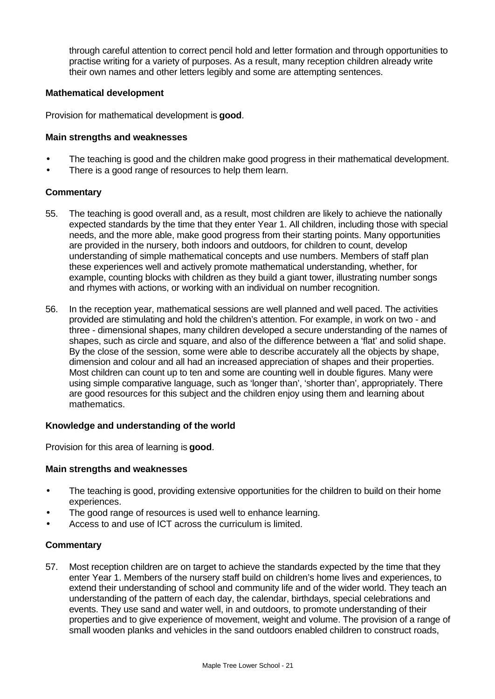through careful attention to correct pencil hold and letter formation and through opportunities to practise writing for a variety of purposes. As a result, many reception children already write their own names and other letters legibly and some are attempting sentences.

#### **Mathematical development**

Provision for mathematical development is **good**.

#### **Main strengths and weaknesses**

- The teaching is good and the children make good progress in their mathematical development.
- There is a good range of resources to help them learn.

#### **Commentary**

- 55. The teaching is good overall and, as a result, most children are likely to achieve the nationally expected standards by the time that they enter Year 1. All children, including those with special needs, and the more able, make good progress from their starting points. Many opportunities are provided in the nursery, both indoors and outdoors, for children to count, develop understanding of simple mathematical concepts and use numbers. Members of staff plan these experiences well and actively promote mathematical understanding, whether, for example, counting blocks with children as they build a giant tower, illustrating number songs and rhymes with actions, or working with an individual on number recognition.
- 56. In the reception year, mathematical sessions are well planned and well paced. The activities provided are stimulating and hold the children's attention. For example, in work on two - and three - dimensional shapes, many children developed a secure understanding of the names of shapes, such as circle and square, and also of the difference between a 'flat' and solid shape. By the close of the session, some were able to describe accurately all the objects by shape, dimension and colour and all had an increased appreciation of shapes and their properties. Most children can count up to ten and some are counting well in double figures. Many were using simple comparative language, such as 'longer than', 'shorter than', appropriately. There are good resources for this subject and the children enjoy using them and learning about mathematics.

#### **Knowledge and understanding of the world**

Provision for this area of learning is **good**.

#### **Main strengths and weaknesses**

- The teaching is good, providing extensive opportunities for the children to build on their home experiences.
- The good range of resources is used well to enhance learning.
- Access to and use of ICT across the curriculum is limited.

#### **Commentary**

57. Most reception children are on target to achieve the standards expected by the time that they enter Year 1. Members of the nursery staff build on children's home lives and experiences, to extend their understanding of school and community life and of the wider world. They teach an understanding of the pattern of each day, the calendar, birthdays, special celebrations and events. They use sand and water well, in and outdoors, to promote understanding of their properties and to give experience of movement, weight and volume. The provision of a range of small wooden planks and vehicles in the sand outdoors enabled children to construct roads,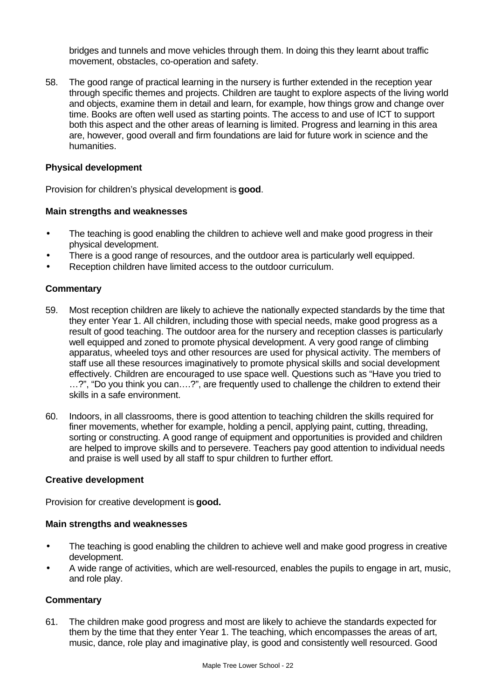bridges and tunnels and move vehicles through them. In doing this they learnt about traffic movement, obstacles, co-operation and safety.

58. The good range of practical learning in the nursery is further extended in the reception year through specific themes and projects. Children are taught to explore aspects of the living world and objects, examine them in detail and learn, for example, how things grow and change over time. Books are often well used as starting points. The access to and use of ICT to support both this aspect and the other areas of learning is limited. Progress and learning in this area are, however, good overall and firm foundations are laid for future work in science and the humanities.

#### **Physical development**

Provision for children's physical development is **good**.

#### **Main strengths and weaknesses**

- The teaching is good enabling the children to achieve well and make good progress in their physical development.
- There is a good range of resources, and the outdoor area is particularly well equipped.
- Reception children have limited access to the outdoor curriculum.

#### **Commentary**

- 59. Most reception children are likely to achieve the nationally expected standards by the time that they enter Year 1. All children, including those with special needs, make good progress as a result of good teaching. The outdoor area for the nursery and reception classes is particularly well equipped and zoned to promote physical development. A very good range of climbing apparatus, wheeled toys and other resources are used for physical activity. The members of staff use all these resources imaginatively to promote physical skills and social development effectively. Children are encouraged to use space well. Questions such as "Have you tried to …?", "Do you think you can….?", are frequently used to challenge the children to extend their skills in a safe environment.
- 60. Indoors, in all classrooms, there is good attention to teaching children the skills required for finer movements, whether for example, holding a pencil, applying paint, cutting, threading, sorting or constructing. A good range of equipment and opportunities is provided and children are helped to improve skills and to persevere. Teachers pay good attention to individual needs and praise is well used by all staff to spur children to further effort.

#### **Creative development**

Provision for creative development is **good.**

#### **Main strengths and weaknesses**

- The teaching is good enabling the children to achieve well and make good progress in creative development.
- A wide range of activities, which are well-resourced, enables the pupils to engage in art, music, and role play.

#### **Commentary**

61. The children make good progress and most are likely to achieve the standards expected for them by the time that they enter Year 1. The teaching, which encompasses the areas of art, music, dance, role play and imaginative play, is good and consistently well resourced. Good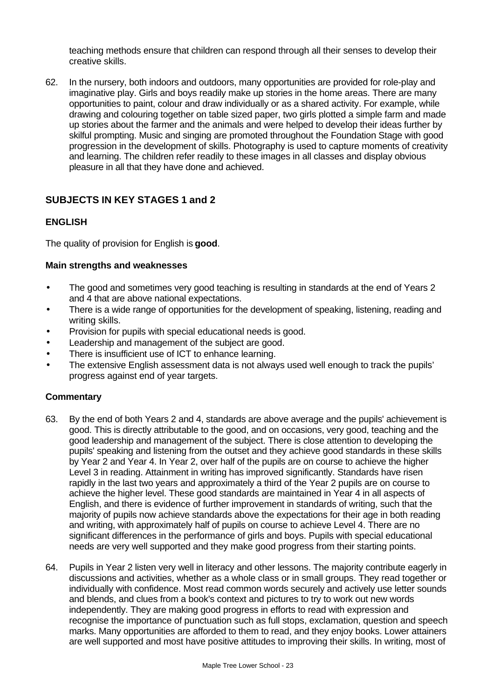teaching methods ensure that children can respond through all their senses to develop their creative skills.

62. In the nursery, both indoors and outdoors, many opportunities are provided for role-play and imaginative play. Girls and boys readily make up stories in the home areas. There are many opportunities to paint, colour and draw individually or as a shared activity. For example, while drawing and colouring together on table sized paper, two girls plotted a simple farm and made up stories about the farmer and the animals and were helped to develop their ideas further by skilful prompting. Music and singing are promoted throughout the Foundation Stage with good progression in the development of skills. Photography is used to capture moments of creativity and learning. The children refer readily to these images in all classes and display obvious pleasure in all that they have done and achieved.

# **SUBJECTS IN KEY STAGES 1 and 2**

# **ENGLISH**

The quality of provision for English is **good**.

#### **Main strengths and weaknesses**

- The good and sometimes very good teaching is resulting in standards at the end of Years 2 and 4 that are above national expectations.
- There is a wide range of opportunities for the development of speaking, listening, reading and writing skills.
- Provision for pupils with special educational needs is good.
- Leadership and management of the subject are good.
- There is insufficient use of ICT to enhance learning.
- The extensive English assessment data is not always used well enough to track the pupils' progress against end of year targets.

- 63. By the end of both Years 2 and 4, standards are above average and the pupils' achievement is good. This is directly attributable to the good, and on occasions, very good, teaching and the good leadership and management of the subject. There is close attention to developing the pupils' speaking and listening from the outset and they achieve good standards in these skills by Year 2 and Year 4. In Year 2, over half of the pupils are on course to achieve the higher Level 3 in reading. Attainment in writing has improved significantly. Standards have risen rapidly in the last two years and approximately a third of the Year 2 pupils are on course to achieve the higher level. These good standards are maintained in Year 4 in all aspects of English, and there is evidence of further improvement in standards of writing, such that the majority of pupils now achieve standards above the expectations for their age in both reading and writing, with approximately half of pupils on course to achieve Level 4. There are no significant differences in the performance of girls and boys. Pupils with special educational needs are very well supported and they make good progress from their starting points.
- 64. Pupils in Year 2 listen very well in literacy and other lessons. The majority contribute eagerly in discussions and activities, whether as a whole class or in small groups. They read together or individually with confidence. Most read common words securely and actively use letter sounds and blends, and clues from a book's context and pictures to try to work out new words independently. They are making good progress in efforts to read with expression and recognise the importance of punctuation such as full stops, exclamation, question and speech marks. Many opportunities are afforded to them to read, and they enjoy books. Lower attainers are well supported and most have positive attitudes to improving their skills. In writing, most of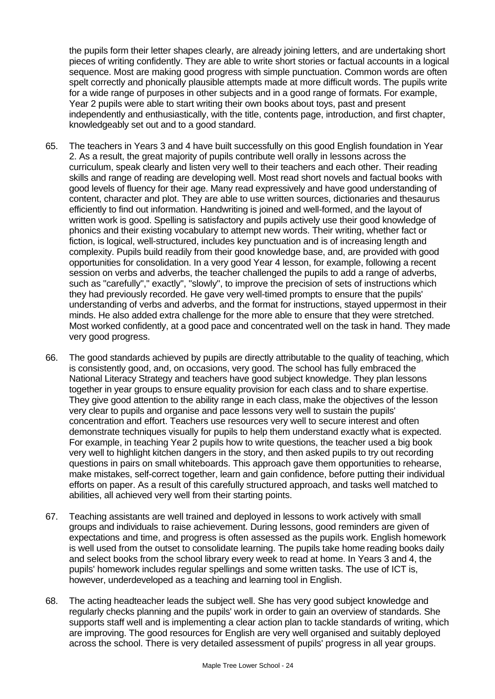the pupils form their letter shapes clearly, are already joining letters, and are undertaking short pieces of writing confidently. They are able to write short stories or factual accounts in a logical sequence. Most are making good progress with simple punctuation. Common words are often spelt correctly and phonically plausible attempts made at more difficult words. The pupils write for a wide range of purposes in other subjects and in a good range of formats. For example, Year 2 pupils were able to start writing their own books about toys, past and present independently and enthusiastically, with the title, contents page, introduction, and first chapter, knowledgeably set out and to a good standard.

- 65. The teachers in Years 3 and 4 have built successfully on this good English foundation in Year 2. As a result, the great majority of pupils contribute well orally in lessons across the curriculum, speak clearly and listen very well to their teachers and each other. Their reading skills and range of reading are developing well. Most read short novels and factual books with good levels of fluency for their age. Many read expressively and have good understanding of content, character and plot. They are able to use written sources, dictionaries and thesaurus efficiently to find out information. Handwriting is joined and well-formed, and the layout of written work is good. Spelling is satisfactory and pupils actively use their good knowledge of phonics and their existing vocabulary to attempt new words. Their writing, whether fact or fiction, is logical, well-structured, includes key punctuation and is of increasing length and complexity. Pupils build readily from their good knowledge base, and, are provided with good opportunities for consolidation. In a very good Year 4 lesson, for example, following a recent session on verbs and adverbs, the teacher challenged the pupils to add a range of adverbs, such as "carefully"," exactly", "slowly", to improve the precision of sets of instructions which they had previously recorded. He gave very well-timed prompts to ensure that the pupils' understanding of verbs and adverbs, and the format for instructions, stayed uppermost in their minds. He also added extra challenge for the more able to ensure that they were stretched. Most worked confidently, at a good pace and concentrated well on the task in hand. They made very good progress.
- 66. The good standards achieved by pupils are directly attributable to the quality of teaching, which is consistently good, and, on occasions, very good. The school has fully embraced the National Literacy Strategy and teachers have good subject knowledge. They plan lessons together in year groups to ensure equality provision for each class and to share expertise. They give good attention to the ability range in each class, make the objectives of the lesson very clear to pupils and organise and pace lessons very well to sustain the pupils' concentration and effort. Teachers use resources very well to secure interest and often demonstrate techniques visually for pupils to help them understand exactly what is expected. For example, in teaching Year 2 pupils how to write questions, the teacher used a big book very well to highlight kitchen dangers in the story, and then asked pupils to try out recording questions in pairs on small whiteboards. This approach gave them opportunities to rehearse, make mistakes, self-correct together, learn and gain confidence, before putting their individual efforts on paper. As a result of this carefully structured approach, and tasks well matched to abilities, all achieved very well from their starting points.
- 67. Teaching assistants are well trained and deployed in lessons to work actively with small groups and individuals to raise achievement. During lessons, good reminders are given of expectations and time, and progress is often assessed as the pupils work. English homework is well used from the outset to consolidate learning. The pupils take home reading books daily and select books from the school library every week to read at home. In Years 3 and 4, the pupils' homework includes regular spellings and some written tasks. The use of ICT is, however, underdeveloped as a teaching and learning tool in English.
- 68. The acting headteacher leads the subject well. She has very good subject knowledge and regularly checks planning and the pupils' work in order to gain an overview of standards. She supports staff well and is implementing a clear action plan to tackle standards of writing, which are improving. The good resources for English are very well organised and suitably deployed across the school. There is very detailed assessment of pupils' progress in all year groups.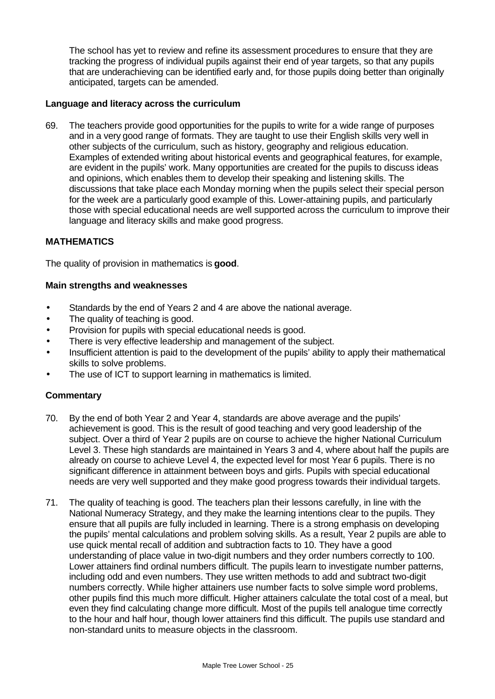The school has yet to review and refine its assessment procedures to ensure that they are tracking the progress of individual pupils against their end of year targets, so that any pupils that are underachieving can be identified early and, for those pupils doing better than originally anticipated, targets can be amended.

#### **Language and literacy across the curriculum**

69. The teachers provide good opportunities for the pupils to write for a wide range of purposes and in a very good range of formats. They are taught to use their English skills very well in other subjects of the curriculum, such as history, geography and religious education. Examples of extended writing about historical events and geographical features, for example, are evident in the pupils' work. Many opportunities are created for the pupils to discuss ideas and opinions, which enables them to develop their speaking and listening skills. The discussions that take place each Monday morning when the pupils select their special person for the week are a particularly good example of this. Lower-attaining pupils, and particularly those with special educational needs are well supported across the curriculum to improve their language and literacy skills and make good progress.

#### **MATHEMATICS**

The quality of provision in mathematics is **good**.

#### **Main strengths and weaknesses**

- Standards by the end of Years 2 and 4 are above the national average.
- The quality of teaching is good.
- Provision for pupils with special educational needs is good.
- There is very effective leadership and management of the subject.
- Insufficient attention is paid to the development of the pupils' ability to apply their mathematical skills to solve problems.
- The use of ICT to support learning in mathematics is limited.

- 70. By the end of both Year 2 and Year 4, standards are above average and the pupils' achievement is good. This is the result of good teaching and very good leadership of the subject. Over a third of Year 2 pupils are on course to achieve the higher National Curriculum Level 3. These high standards are maintained in Years 3 and 4, where about half the pupils are already on course to achieve Level 4, the expected level for most Year 6 pupils. There is no significant difference in attainment between boys and girls. Pupils with special educational needs are very well supported and they make good progress towards their individual targets.
- 71. The quality of teaching is good. The teachers plan their lessons carefully, in line with the National Numeracy Strategy, and they make the learning intentions clear to the pupils. They ensure that all pupils are fully included in learning. There is a strong emphasis on developing the pupils' mental calculations and problem solving skills. As a result, Year 2 pupils are able to use quick mental recall of addition and subtraction facts to 10. They have a good understanding of place value in two-digit numbers and they order numbers correctly to 100. Lower attainers find ordinal numbers difficult. The pupils learn to investigate number patterns, including odd and even numbers. They use written methods to add and subtract two-digit numbers correctly. While higher attainers use number facts to solve simple word problems, other pupils find this much more difficult. Higher attainers calculate the total cost of a meal, but even they find calculating change more difficult. Most of the pupils tell analogue time correctly to the hour and half hour, though lower attainers find this difficult. The pupils use standard and non-standard units to measure objects in the classroom.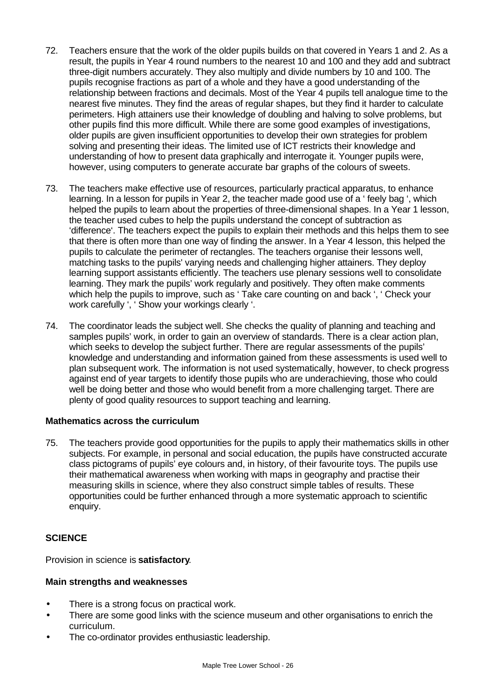- 72. Teachers ensure that the work of the older pupils builds on that covered in Years 1 and 2. As a result, the pupils in Year 4 round numbers to the nearest 10 and 100 and they add and subtract three-digit numbers accurately. They also multiply and divide numbers by 10 and 100. The pupils recognise fractions as part of a whole and they have a good understanding of the relationship between fractions and decimals. Most of the Year 4 pupils tell analogue time to the nearest five minutes. They find the areas of regular shapes, but they find it harder to calculate perimeters. High attainers use their knowledge of doubling and halving to solve problems, but other pupils find this more difficult. While there are some good examples of investigations, older pupils are given insufficient opportunities to develop their own strategies for problem solving and presenting their ideas. The limited use of ICT restricts their knowledge and understanding of how to present data graphically and interrogate it. Younger pupils were, however, using computers to generate accurate bar graphs of the colours of sweets.
- 73. The teachers make effective use of resources, particularly practical apparatus, to enhance learning. In a lesson for pupils in Year 2, the teacher made good use of a ' feely bag ', which helped the pupils to learn about the properties of three-dimensional shapes. In a Year 1 lesson, the teacher used cubes to help the pupils understand the concept of subtraction as 'difference'. The teachers expect the pupils to explain their methods and this helps them to see that there is often more than one way of finding the answer. In a Year 4 lesson, this helped the pupils to calculate the perimeter of rectangles. The teachers organise their lessons well, matching tasks to the pupils' varying needs and challenging higher attainers. They deploy learning support assistants efficiently. The teachers use plenary sessions well to consolidate learning. They mark the pupils' work regularly and positively. They often make comments which help the pupils to improve, such as ' Take care counting on and back ', ' Check your work carefully ', ' Show your workings clearly '.
- 74. The coordinator leads the subject well. She checks the quality of planning and teaching and samples pupils' work, in order to gain an overview of standards. There is a clear action plan, which seeks to develop the subject further. There are regular assessments of the pupils' knowledge and understanding and information gained from these assessments is used well to plan subsequent work. The information is not used systematically, however, to check progress against end of year targets to identify those pupils who are underachieving, those who could well be doing better and those who would benefit from a more challenging target. There are plenty of good quality resources to support teaching and learning.

#### **Mathematics across the curriculum**

75. The teachers provide good opportunities for the pupils to apply their mathematics skills in other subjects. For example, in personal and social education, the pupils have constructed accurate class pictograms of pupils' eye colours and, in history, of their favourite toys. The pupils use their mathematical awareness when working with maps in geography and practise their measuring skills in science, where they also construct simple tables of results. These opportunities could be further enhanced through a more systematic approach to scientific enquiry.

# **SCIENCE**

Provision in science is **satisfactory**.

#### **Main strengths and weaknesses**

- There is a strong focus on practical work.
- There are some good links with the science museum and other organisations to enrich the curriculum.
- The co-ordinator provides enthusiastic leadership.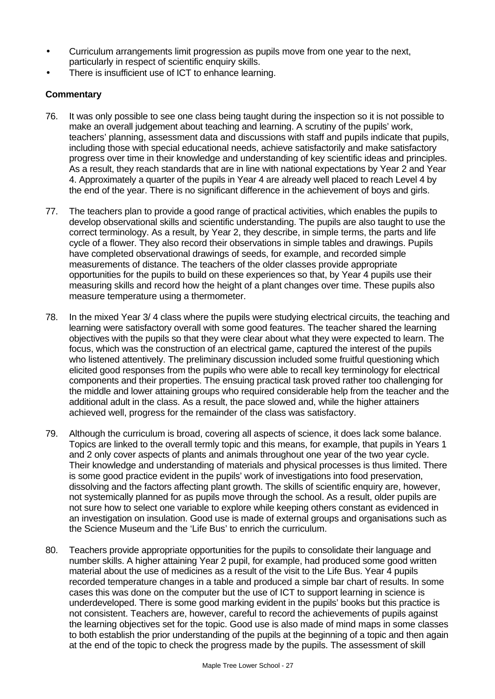- Curriculum arrangements limit progression as pupils move from one year to the next, particularly in respect of scientific enquiry skills.
- There is insufficient use of ICT to enhance learning.

- 76. It was only possible to see one class being taught during the inspection so it is not possible to make an overall judgement about teaching and learning. A scrutiny of the pupils' work, teachers' planning, assessment data and discussions with staff and pupils indicate that pupils, including those with special educational needs, achieve satisfactorily and make satisfactory progress over time in their knowledge and understanding of key scientific ideas and principles. As a result, they reach standards that are in line with national expectations by Year 2 and Year 4. Approximately a quarter of the pupils in Year 4 are already well placed to reach Level 4 by the end of the year. There is no significant difference in the achievement of boys and girls.
- 77. The teachers plan to provide a good range of practical activities, which enables the pupils to develop observational skills and scientific understanding. The pupils are also taught to use the correct terminology. As a result, by Year 2, they describe, in simple terms, the parts and life cycle of a flower. They also record their observations in simple tables and drawings. Pupils have completed observational drawings of seeds, for example, and recorded simple measurements of distance. The teachers of the older classes provide appropriate opportunities for the pupils to build on these experiences so that, by Year 4 pupils use their measuring skills and record how the height of a plant changes over time. These pupils also measure temperature using a thermometer.
- 78. In the mixed Year 3/ 4 class where the pupils were studying electrical circuits, the teaching and learning were satisfactory overall with some good features. The teacher shared the learning objectives with the pupils so that they were clear about what they were expected to learn. The focus, which was the construction of an electrical game, captured the interest of the pupils who listened attentively. The preliminary discussion included some fruitful questioning which elicited good responses from the pupils who were able to recall key terminology for electrical components and their properties. The ensuing practical task proved rather too challenging for the middle and lower attaining groups who required considerable help from the teacher and the additional adult in the class. As a result, the pace slowed and, while the higher attainers achieved well, progress for the remainder of the class was satisfactory.
- 79. Although the curriculum is broad, covering all aspects of science, it does lack some balance. Topics are linked to the overall termly topic and this means, for example, that pupils in Years 1 and 2 only cover aspects of plants and animals throughout one year of the two year cycle. Their knowledge and understanding of materials and physical processes is thus limited. There is some good practice evident in the pupils' work of investigations into food preservation, dissolving and the factors affecting plant growth. The skills of scientific enquiry are, however, not systemically planned for as pupils move through the school. As a result, older pupils are not sure how to select one variable to explore while keeping others constant as evidenced in an investigation on insulation. Good use is made of external groups and organisations such as the Science Museum and the 'Life Bus' to enrich the curriculum.
- 80. Teachers provide appropriate opportunities for the pupils to consolidate their language and number skills. A higher attaining Year 2 pupil, for example, had produced some good written material about the use of medicines as a result of the visit to the Life Bus. Year 4 pupils recorded temperature changes in a table and produced a simple bar chart of results. In some cases this was done on the computer but the use of ICT to support learning in science is underdeveloped. There is some good marking evident in the pupils' books but this practice is not consistent. Teachers are, however, careful to record the achievements of pupils against the learning objectives set for the topic. Good use is also made of mind maps in some classes to both establish the prior understanding of the pupils at the beginning of a topic and then again at the end of the topic to check the progress made by the pupils. The assessment of skill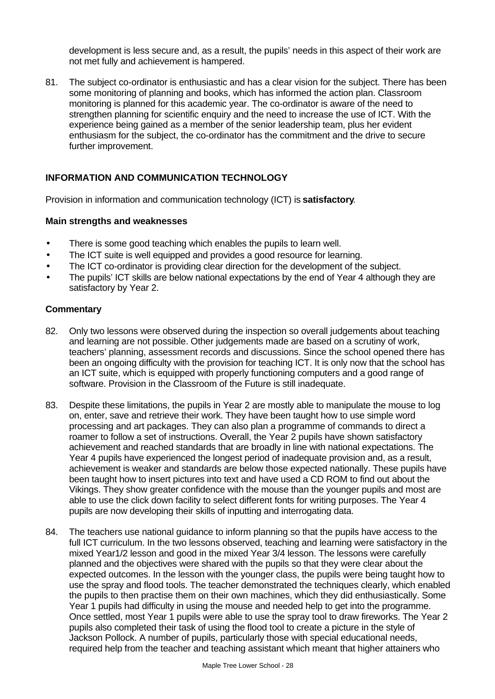development is less secure and, as a result, the pupils' needs in this aspect of their work are not met fully and achievement is hampered.

81. The subject co-ordinator is enthusiastic and has a clear vision for the subject. There has been some monitoring of planning and books, which has informed the action plan. Classroom monitoring is planned for this academic year. The co-ordinator is aware of the need to strengthen planning for scientific enquiry and the need to increase the use of ICT. With the experience being gained as a member of the senior leadership team, plus her evident enthusiasm for the subject, the co-ordinator has the commitment and the drive to secure further improvement.

# **INFORMATION AND COMMUNICATION TECHNOLOGY**

Provision in information and communication technology (ICT) is **satisfactory**.

#### **Main strengths and weaknesses**

- There is some good teaching which enables the pupils to learn well.
- The ICT suite is well equipped and provides a good resource for learning.
- The ICT co-ordinator is providing clear direction for the development of the subject.
- The pupils' ICT skills are below national expectations by the end of Year 4 although they are satisfactory by Year 2.

- 82. Only two lessons were observed during the inspection so overall judgements about teaching and learning are not possible. Other judgements made are based on a scrutiny of work, teachers' planning, assessment records and discussions. Since the school opened there has been an ongoing difficulty with the provision for teaching ICT. It is only now that the school has an ICT suite, which is equipped with properly functioning computers and a good range of software. Provision in the Classroom of the Future is still inadequate.
- 83. Despite these limitations, the pupils in Year 2 are mostly able to manipulate the mouse to log on, enter, save and retrieve their work. They have been taught how to use simple word processing and art packages. They can also plan a programme of commands to direct a roamer to follow a set of instructions. Overall, the Year 2 pupils have shown satisfactory achievement and reached standards that are broadly in line with national expectations. The Year 4 pupils have experienced the longest period of inadequate provision and, as a result, achievement is weaker and standards are below those expected nationally. These pupils have been taught how to insert pictures into text and have used a CD ROM to find out about the Vikings. They show greater confidence with the mouse than the younger pupils and most are able to use the click down facility to select different fonts for writing purposes. The Year 4 pupils are now developing their skills of inputting and interrogating data.
- 84. The teachers use national guidance to inform planning so that the pupils have access to the full ICT curriculum. In the two lessons observed, teaching and learning were satisfactory in the mixed Year1/2 lesson and good in the mixed Year 3/4 lesson. The lessons were carefully planned and the objectives were shared with the pupils so that they were clear about the expected outcomes. In the lesson with the younger class, the pupils were being taught how to use the spray and flood tools. The teacher demonstrated the techniques clearly, which enabled the pupils to then practise them on their own machines, which they did enthusiastically. Some Year 1 pupils had difficulty in using the mouse and needed help to get into the programme. Once settled, most Year 1 pupils were able to use the spray tool to draw fireworks. The Year 2 pupils also completed their task of using the flood tool to create a picture in the style of Jackson Pollock. A number of pupils, particularly those with special educational needs, required help from the teacher and teaching assistant which meant that higher attainers who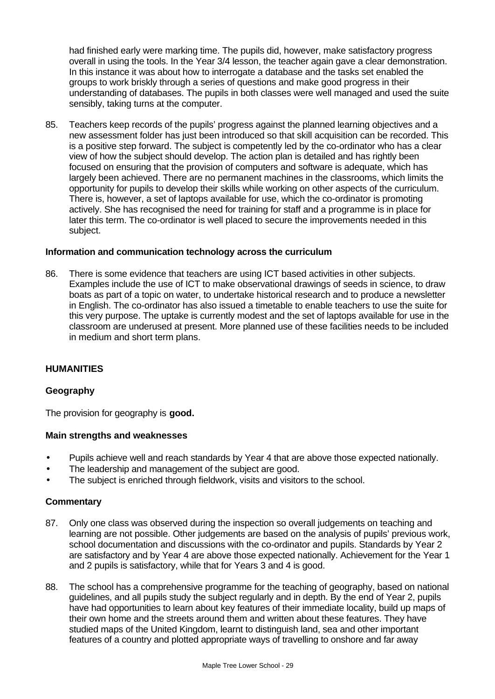had finished early were marking time. The pupils did, however, make satisfactory progress overall in using the tools. In the Year 3/4 lesson, the teacher again gave a clear demonstration. In this instance it was about how to interrogate a database and the tasks set enabled the groups to work briskly through a series of questions and make good progress in their understanding of databases. The pupils in both classes were well managed and used the suite sensibly, taking turns at the computer.

85. Teachers keep records of the pupils' progress against the planned learning objectives and a new assessment folder has just been introduced so that skill acquisition can be recorded. This is a positive step forward. The subject is competently led by the co-ordinator who has a clear view of how the subject should develop. The action plan is detailed and has rightly been focused on ensuring that the provision of computers and software is adequate, which has largely been achieved. There are no permanent machines in the classrooms, which limits the opportunity for pupils to develop their skills while working on other aspects of the curriculum. There is, however, a set of laptops available for use, which the co-ordinator is promoting actively. She has recognised the need for training for staff and a programme is in place for later this term. The co-ordinator is well placed to secure the improvements needed in this subject.

#### **Information and communication technology across the curriculum**

86. There is some evidence that teachers are using ICT based activities in other subjects. Examples include the use of ICT to make observational drawings of seeds in science, to draw boats as part of a topic on water, to undertake historical research and to produce a newsletter in English. The co-ordinator has also issued a timetable to enable teachers to use the suite for this very purpose. The uptake is currently modest and the set of laptops available for use in the classroom are underused at present. More planned use of these facilities needs to be included in medium and short term plans.

#### **HUMANITIES**

#### **Geography**

The provision for geography is **good.**

#### **Main strengths and weaknesses**

- Pupils achieve well and reach standards by Year 4 that are above those expected nationally.
- The leadership and management of the subject are good.
- The subject is enriched through fieldwork, visits and visitors to the school.

- 87. Only one class was observed during the inspection so overall judgements on teaching and learning are not possible. Other judgements are based on the analysis of pupils' previous work, school documentation and discussions with the co-ordinator and pupils. Standards by Year 2 are satisfactory and by Year 4 are above those expected nationally. Achievement for the Year 1 and 2 pupils is satisfactory, while that for Years 3 and 4 is good.
- 88. The school has a comprehensive programme for the teaching of geography, based on national guidelines, and all pupils study the subject regularly and in depth. By the end of Year 2, pupils have had opportunities to learn about key features of their immediate locality, build up maps of their own home and the streets around them and written about these features. They have studied maps of the United Kingdom, learnt to distinguish land, sea and other important features of a country and plotted appropriate ways of travelling to onshore and far away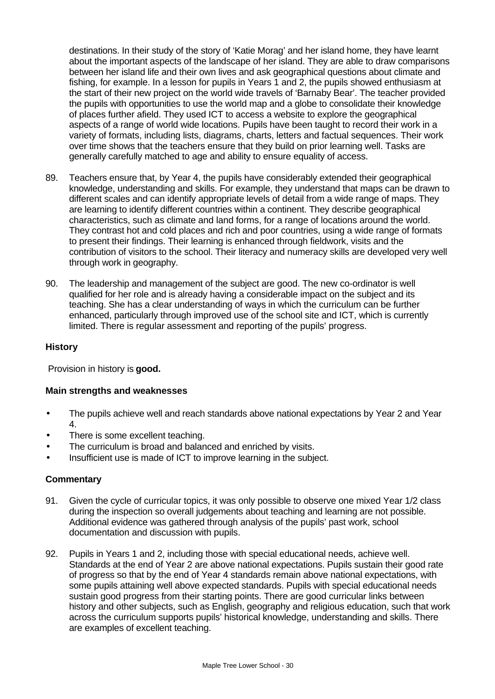destinations. In their study of the story of 'Katie Morag' and her island home, they have learnt about the important aspects of the landscape of her island. They are able to draw comparisons between her island life and their own lives and ask geographical questions about climate and fishing, for example. In a lesson for pupils in Years 1 and 2, the pupils showed enthusiasm at the start of their new project on the world wide travels of 'Barnaby Bear'. The teacher provided the pupils with opportunities to use the world map and a globe to consolidate their knowledge of places further afield. They used ICT to access a website to explore the geographical aspects of a range of world wide locations. Pupils have been taught to record their work in a variety of formats, including lists, diagrams, charts, letters and factual sequences. Their work over time shows that the teachers ensure that they build on prior learning well. Tasks are generally carefully matched to age and ability to ensure equality of access.

- 89. Teachers ensure that, by Year 4, the pupils have considerably extended their geographical knowledge, understanding and skills. For example, they understand that maps can be drawn to different scales and can identify appropriate levels of detail from a wide range of maps. They are learning to identify different countries within a continent. They describe geographical characteristics, such as climate and land forms, for a range of locations around the world. They contrast hot and cold places and rich and poor countries, using a wide range of formats to present their findings. Their learning is enhanced through fieldwork, visits and the contribution of visitors to the school. Their literacy and numeracy skills are developed very well through work in geography.
- 90. The leadership and management of the subject are good. The new co-ordinator is well qualified for her role and is already having a considerable impact on the subject and its teaching. She has a clear understanding of ways in which the curriculum can be further enhanced, particularly through improved use of the school site and ICT, which is currently limited. There is regular assessment and reporting of the pupils' progress.

### **History**

Provision in history is **good.**

#### **Main strengths and weaknesses**

- The pupils achieve well and reach standards above national expectations by Year 2 and Year 4.
- There is some excellent teaching.
- The curriculum is broad and balanced and enriched by visits.
- Insufficient use is made of ICT to improve learning in the subject.

- 91. Given the cycle of curricular topics, it was only possible to observe one mixed Year 1/2 class during the inspection so overall judgements about teaching and learning are not possible. Additional evidence was gathered through analysis of the pupils' past work, school documentation and discussion with pupils.
- 92. Pupils in Years 1 and 2, including those with special educational needs, achieve well. Standards at the end of Year 2 are above national expectations. Pupils sustain their good rate of progress so that by the end of Year 4 standards remain above national expectations, with some pupils attaining well above expected standards. Pupils with special educational needs sustain good progress from their starting points. There are good curricular links between history and other subjects, such as English, geography and religious education, such that work across the curriculum supports pupils' historical knowledge, understanding and skills. There are examples of excellent teaching.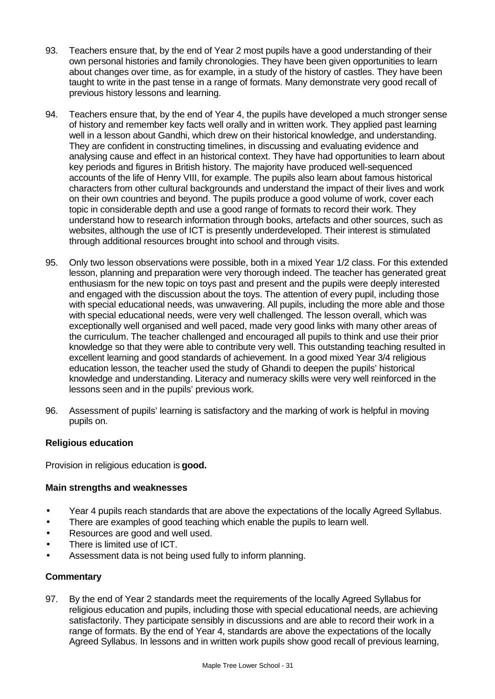- 93. Teachers ensure that, by the end of Year 2 most pupils have a good understanding of their own personal histories and family chronologies. They have been given opportunities to learn about changes over time, as for example, in a study of the history of castles. They have been taught to write in the past tense in a range of formats. Many demonstrate very good recall of previous history lessons and learning.
- 94. Teachers ensure that, by the end of Year 4, the pupils have developed a much stronger sense of history and remember key facts well orally and in written work. They applied past learning well in a lesson about Gandhi, which drew on their historical knowledge, and understanding. They are confident in constructing timelines, in discussing and evaluating evidence and analysing cause and effect in an historical context. They have had opportunities to learn about key periods and figures in British history. The majority have produced well-sequenced accounts of the life of Henry VIII, for example. The pupils also learn about famous historical characters from other cultural backgrounds and understand the impact of their lives and work on their own countries and beyond. The pupils produce a good volume of work, cover each topic in considerable depth and use a good range of formats to record their work. They understand how to research information through books, artefacts and other sources, such as websites, although the use of ICT is presently underdeveloped. Their interest is stimulated through additional resources brought into school and through visits.
- 95. Only two lesson observations were possible, both in a mixed Year 1/2 class. For this extended lesson, planning and preparation were very thorough indeed. The teacher has generated great enthusiasm for the new topic on toys past and present and the pupils were deeply interested and engaged with the discussion about the toys. The attention of every pupil, including those with special educational needs, was unwavering. All pupils, including the more able and those with special educational needs, were very well challenged. The lesson overall, which was exceptionally well organised and well paced, made very good links with many other areas of the curriculum. The teacher challenged and encouraged all pupils to think and use their prior knowledge so that they were able to contribute very well. This outstanding teaching resulted in excellent learning and good standards of achievement. In a good mixed Year 3/4 religious education lesson, the teacher used the study of Ghandi to deepen the pupils' historical knowledge and understanding. Literacy and numeracy skills were very well reinforced in the lessons seen and in the pupils' previous work.
- 96. Assessment of pupils' learning is satisfactory and the marking of work is helpful in moving pupils on.

#### **Religious education**

Provision in religious education is **good.**

#### **Main strengths and weaknesses**

- Year 4 pupils reach standards that are above the expectations of the locally Agreed Syllabus.
- There are examples of good teaching which enable the pupils to learn well.
- Resources are good and well used.
- There is limited use of ICT.
- Assessment data is not being used fully to inform planning.

#### **Commentary**

97. By the end of Year 2 standards meet the requirements of the locally Agreed Syllabus for religious education and pupils, including those with special educational needs, are achieving satisfactorily. They participate sensibly in discussions and are able to record their work in a range of formats. By the end of Year 4, standards are above the expectations of the locally Agreed Syllabus. In lessons and in written work pupils show good recall of previous learning,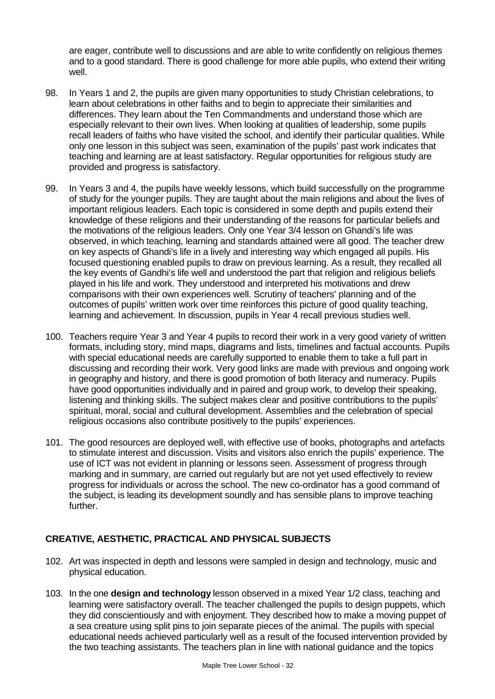are eager, contribute well to discussions and are able to write confidently on religious themes and to a good standard. There is good challenge for more able pupils, who extend their writing well.

- 98. In Years 1 and 2, the pupils are given many opportunities to study Christian celebrations, to learn about celebrations in other faiths and to begin to appreciate their similarities and differences. They learn about the Ten Commandments and understand those which are especially relevant to their own lives. When looking at qualities of leadership, some pupils recall leaders of faiths who have visited the school, and identify their particular qualities. While only one lesson in this subject was seen, examination of the pupils' past work indicates that teaching and learning are at least satisfactory. Regular opportunities for religious study are provided and progress is satisfactory.
- 99. In Years 3 and 4, the pupils have weekly lessons, which build successfully on the programme of study for the younger pupils. They are taught about the main religions and about the lives of important religious leaders. Each topic is considered in some depth and pupils extend their knowledge of these religions and their understanding of the reasons for particular beliefs and the motivations of the religious leaders. Only one Year 3/4 lesson on Ghandi's life was observed, in which teaching, learning and standards attained were all good. The teacher drew on key aspects of Ghandi's life in a lively and interesting way which engaged all pupils. His focused questioning enabled pupils to draw on previous learning. As a result, they recalled all the key events of Gandhi's life well and understood the part that religion and religious beliefs played in his life and work. They understood and interpreted his motivations and drew comparisons with their own experiences well. Scrutiny of teachers' planning and of the outcomes of pupils' written work over time reinforces this picture of good quality teaching, learning and achievement. In discussion, pupils in Year 4 recall previous studies well.
- 100. Teachers require Year 3 and Year 4 pupils to record their work in a very good variety of written formats, including story, mind maps, diagrams and lists, timelines and factual accounts. Pupils with special educational needs are carefully supported to enable them to take a full part in discussing and recording their work. Very good links are made with previous and ongoing work in geography and history, and there is good promotion of both literacy and numeracy. Pupils have good opportunities individually and in paired and group work, to develop their speaking, listening and thinking skills. The subject makes clear and positive contributions to the pupils' spiritual, moral, social and cultural development. Assemblies and the celebration of special religious occasions also contribute positively to the pupils' experiences.
- 101. The good resources are deployed well, with effective use of books, photographs and artefacts to stimulate interest and discussion. Visits and visitors also enrich the pupils' experience. The use of ICT was not evident in planning or lessons seen. Assessment of progress through marking and in summary, are carried out regularly but are not yet used effectively to review progress for individuals or across the school. The new co-ordinator has a good command of the subject, is leading its development soundly and has sensible plans to improve teaching further.

# **CREATIVE, AESTHETIC, PRACTICAL AND PHYSICAL SUBJECTS**

- 102. Art was inspected in depth and lessons were sampled in design and technology, music and physical education.
- 103. In the one **design and technology** lesson observed in a mixed Year 1/2 class, teaching and learning were satisfactory overall. The teacher challenged the pupils to design puppets, which they did conscientiously and with enjoyment. They described how to make a moving puppet of a sea creature using split pins to join separate pieces of the animal. The pupils with special educational needs achieved particularly well as a result of the focused intervention provided by the two teaching assistants. The teachers plan in line with national guidance and the topics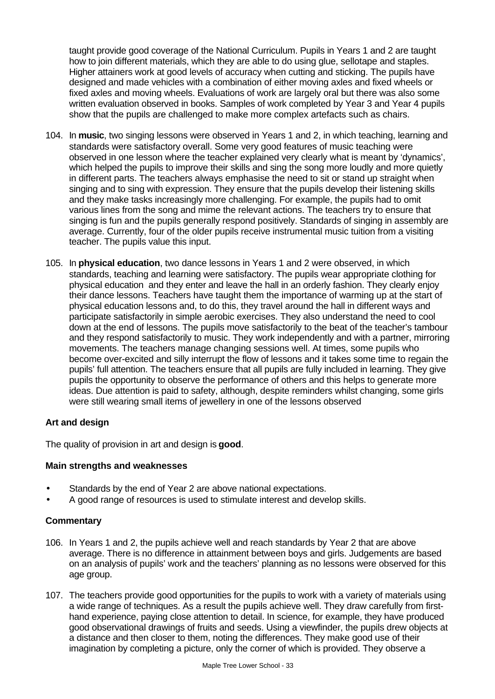taught provide good coverage of the National Curriculum. Pupils in Years 1 and 2 are taught how to join different materials, which they are able to do using glue, sellotape and staples. Higher attainers work at good levels of accuracy when cutting and sticking. The pupils have designed and made vehicles with a combination of either moving axles and fixed wheels or fixed axles and moving wheels. Evaluations of work are largely oral but there was also some written evaluation observed in books. Samples of work completed by Year 3 and Year 4 pupils show that the pupils are challenged to make more complex artefacts such as chairs.

- 104. In **music**, two singing lessons were observed in Years 1 and 2, in which teaching, learning and standards were satisfactory overall. Some very good features of music teaching were observed in one lesson where the teacher explained very clearly what is meant by 'dynamics', which helped the pupils to improve their skills and sing the song more loudly and more quietly in different parts. The teachers always emphasise the need to sit or stand up straight when singing and to sing with expression. They ensure that the pupils develop their listening skills and they make tasks increasingly more challenging. For example, the pupils had to omit various lines from the song and mime the relevant actions. The teachers try to ensure that singing is fun and the pupils generally respond positively. Standards of singing in assembly are average. Currently, four of the older pupils receive instrumental music tuition from a visiting teacher. The pupils value this input.
- 105. In **physical education**, two dance lessons in Years 1 and 2 were observed, in which standards, teaching and learning were satisfactory. The pupils wear appropriate clothing for physical education and they enter and leave the hall in an orderly fashion. They clearly enjoy their dance lessons. Teachers have taught them the importance of warming up at the start of physical education lessons and, to do this, they travel around the hall in different ways and participate satisfactorily in simple aerobic exercises. They also understand the need to cool down at the end of lessons. The pupils move satisfactorily to the beat of the teacher's tambour and they respond satisfactorily to music. They work independently and with a partner, mirroring movements. The teachers manage changing sessions well. At times, some pupils who become over-excited and silly interrupt the flow of lessons and it takes some time to regain the pupils' full attention. The teachers ensure that all pupils are fully included in learning. They give pupils the opportunity to observe the performance of others and this helps to generate more ideas. Due attention is paid to safety, although, despite reminders whilst changing, some girls were still wearing small items of jewellery in one of the lessons observed

# **Art and design**

The quality of provision in art and design is **good**.

#### **Main strengths and weaknesses**

- Standards by the end of Year 2 are above national expectations.
- A good range of resources is used to stimulate interest and develop skills.

- 106. In Years 1 and 2, the pupils achieve well and reach standards by Year 2 that are above average. There is no difference in attainment between boys and girls. Judgements are based on an analysis of pupils' work and the teachers' planning as no lessons were observed for this age group.
- 107. The teachers provide good opportunities for the pupils to work with a variety of materials using a wide range of techniques. As a result the pupils achieve well. They draw carefully from firsthand experience, paying close attention to detail. In science, for example, they have produced good observational drawings of fruits and seeds. Using a viewfinder, the pupils drew objects at a distance and then closer to them, noting the differences. They make good use of their imagination by completing a picture, only the corner of which is provided. They observe a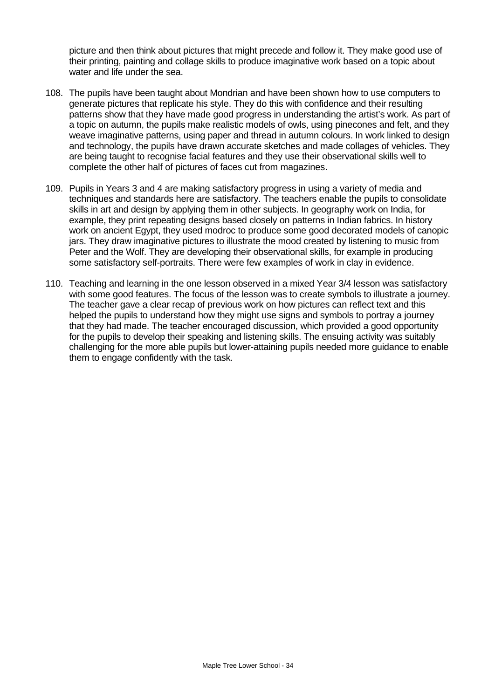picture and then think about pictures that might precede and follow it. They make good use of their printing, painting and collage skills to produce imaginative work based on a topic about water and life under the sea.

- 108. The pupils have been taught about Mondrian and have been shown how to use computers to generate pictures that replicate his style. They do this with confidence and their resulting patterns show that they have made good progress in understanding the artist's work. As part of a topic on autumn, the pupils make realistic models of owls, using pinecones and felt, and they weave imaginative patterns, using paper and thread in autumn colours. In work linked to design and technology, the pupils have drawn accurate sketches and made collages of vehicles. They are being taught to recognise facial features and they use their observational skills well to complete the other half of pictures of faces cut from magazines.
- 109. Pupils in Years 3 and 4 are making satisfactory progress in using a variety of media and techniques and standards here are satisfactory. The teachers enable the pupils to consolidate skills in art and design by applying them in other subjects. In geography work on India, for example, they print repeating designs based closely on patterns in Indian fabrics. In history work on ancient Egypt, they used modroc to produce some good decorated models of canopic jars. They draw imaginative pictures to illustrate the mood created by listening to music from Peter and the Wolf. They are developing their observational skills, for example in producing some satisfactory self-portraits. There were few examples of work in clay in evidence.
- 110. Teaching and learning in the one lesson observed in a mixed Year 3/4 lesson was satisfactory with some good features. The focus of the lesson was to create symbols to illustrate a journey. The teacher gave a clear recap of previous work on how pictures can reflect text and this helped the pupils to understand how they might use signs and symbols to portray a journey that they had made. The teacher encouraged discussion, which provided a good opportunity for the pupils to develop their speaking and listening skills. The ensuing activity was suitably challenging for the more able pupils but lower-attaining pupils needed more guidance to enable them to engage confidently with the task.